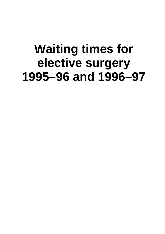# **Waiting times for elective surgery 1995–96 and 1996–97**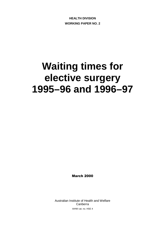**HEALTH DIVISION WORKING PAPER NO. 2**

# **Waiting times for elective surgery 1995–96 and 1996–97**

**March 2000** 

Australian Institute of Health and Welfare Canberra AIHW cat. no. HSE 4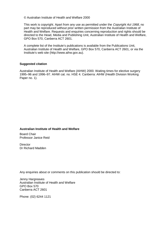© Australian Institute of Health and Welfare 2000

This work is copyright. Apart from any use as permitted under the Copyright Act 1968, no part may be reproduced without prior written permission from the Australian Institute of Health and Welfare. Requests and enquiries concerning reproduction and rights should be directed to the Head, Media and Publishing Unit, Australian Institute of Health and Welfare, GPO Box 570, Canberra ACT 2601.

A complete list of the Institute's publications is available from the Publications Unit, Australian Institute of Health and Welfare, GPO Box 570, Canberra ACT 2601, or via the Institute's web site (http://www.aihw.gov.au).

#### **Suggested citation**

Australian Institute of Health and Welfare (AIHW) 2000. Waiting times for elective surgery 1995–96 and 1996–97. AIHW cat. no. HSE 4. Canberra: AIHW (Health Division Working Paper no. 1).

#### **Australian Institute of Health and Welfare**

Board Chair Professor Janice Reid

**Director** Dr Richard Madden

Any enquiries about or comments on this publication should be directed to:

Jenny Hargreaves Australian Institute of Health and Welfare GPO Box 570 Canberra ACT 2601

Phone: (02) 6244 1121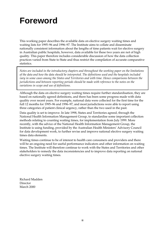# **Foreword**

This working paper describes the available data on elective surgery waiting times and waiting lists for 1995–96 and 1996–97. The Institute aims to collate and disseminate nationally consistent information about the lengths of time patients wait for elective surgery in Australian public hospitals, however, data available for these two years are not of high quality. This paper therefore includes considerable discussion of how the data collection practices varied from State to State and thus restrict the compilation of accurate comparative statistics.

*Notes are included in the introductory chapters and throughout the working paper on the limitations of the data and how the data should be interpreted. The definitions used and the hospitals included vary in some cases among the States and Territories and with time. Hence comparisons between the jurisdictions and between reporting periods should be made with reference to the notes on the variations in scope and use of definitions.*

Although the data on elective surgery waiting times require further standardisation, they are based on nationally agreed definitions, and there has been some progress made with data quality over recent years. For example, national data were collected for the first time for the full 12 months for 1995–96 and 1996–97, and most jurisdictions were able to report using three categories of patient clinical urgency, rather than the two used in the past.

Data quality is set to improve. In late 1998, States and Territories agreed, through the National Health Information Management Group, to standardise some important collection methods relating to counting waiting times, for implementation from July 1999. More recently, with the advice of the National Health Information Management Group, the Institute is using funding, provided by the Australian Health Ministers' Advisory Council for data development work, to further revise and improve national elective surgery waiting times data elements.

Waiting times continue to be of interest to health care consumers and providers and there will be an ongoing need for useful performance indicators and other information on waiting times. The Institute will therefore continue to work with the States and Territories and other stakeholders to remedy the data inconsistencies and to improve data reporting on national elective surgery waiting times.

Richard Madden Director March 2000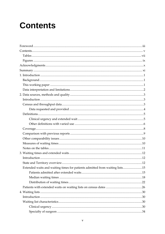# **Contents**

| Extended waits and waiting times for patients admitted from waiting lists15 |  |
|-----------------------------------------------------------------------------|--|
|                                                                             |  |
|                                                                             |  |
|                                                                             |  |
|                                                                             |  |
|                                                                             |  |
|                                                                             |  |
|                                                                             |  |
|                                                                             |  |
|                                                                             |  |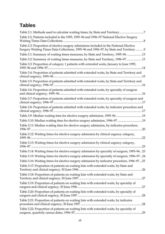## **Tables**

| Table 2.1: Methods used to calculate waiting times, by State and Territory7                                                                                                    |
|--------------------------------------------------------------------------------------------------------------------------------------------------------------------------------|
| Table 2.2: Patients included in the 1995, 1995–96 and 1996–97 National Elective Surgery                                                                                        |
| Table 2.3: Proportion of elective surgery admissions included in the National Elective<br>Surgery Waiting Times Data Collections, 1995-96 and 1996-97, by State and Territory9 |
| Table 3.1: Summary of waiting times measures, by State and Territory, 1995-96 13                                                                                               |
| Table 3.2: Summary of waiting times measures, by State and Territory, 1996-97 13                                                                                               |
| Table 3.3: Proportion of category 1 patients with extended waits, January to June 1995,                                                                                        |
| Table 3.4: Proportion of patients admitted with extended waits, by State and Territory and                                                                                     |
| Table 3.5: Proportion of patients admitted with extended waits, by State and Territory and                                                                                     |
| Table 3.6: Proportion of patients admitted with extended waits, by specialty of surgeon                                                                                        |
| Table 3.7: Proportion of patients admitted with extended waits, by specialty of surgeon and                                                                                    |
| Table 3.8: Proportion of patients admitted with extended waits, by indicator procedure and                                                                                     |
| Table 3.9: Median waiting time for elective surgery admission, 1995-96 19                                                                                                      |
| Table 3.10: Median waiting time for elective surgery admission, 1996-97 19                                                                                                     |
| Table 3.11: Median waiting time for elective surgery admission, by indicator procedure,                                                                                        |
| Table 3.12: Waiting times for elective surgery admission by clinical urgency category,                                                                                         |
| Table 3.13: Waiting times for elective surgery admission by clinical urgency category,                                                                                         |
| Table 3.14: Waiting times for elective surgery admission by specialty of surgeon, 1995-9623                                                                                    |
| Table 3.15: Waiting times for elective surgery admission by specialty of surgeon, 1996–9724                                                                                    |
| Table 3.16: Waiting times for elective surgery admission by indicator procedure, 1996–9725                                                                                     |
| Table 3.17: Proportion of patients on waiting lists with extended waits, by State and                                                                                          |
| Table 3.18: Proportion of patients on waiting lists with extended waits, by State and                                                                                          |
| Table 3.19: Proportion of patients on waiting lists with extended waits, by specialty of                                                                                       |
| Table 3.20: Proportion of patients on waiting lists with extended waits, by specialty of<br>.28                                                                                |
| Table 3.21: Proportion of patients on waiting lists with extended waits, by indicator                                                                                          |
| Table 3.22: Proportion of patients on waiting lists with extended waits, by specialty of                                                                                       |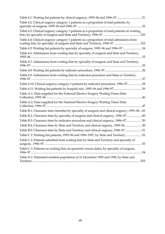| Table 4.1: Waiting list patients by clinical urgency, 1995–96 and 1996–9731                                                                                            |  |
|------------------------------------------------------------------------------------------------------------------------------------------------------------------------|--|
| Table 4.2: Clinical urgency category 1 patients as a proportion of total patients, by                                                                                  |  |
| Table 4.3: Clinical urgency category 1 patients as a proportion of total patients on waiting                                                                           |  |
| Table 4.4: Clinical urgency category 1 patients as a proportion of total admissions from<br>waiting lists, by specialty of surgeon and State and Territory, 1996-97333 |  |
| Table 4.5: Waiting list patients by specialty of surgeon, 1995-96 and 1996-97 34                                                                                       |  |
| Table 4.6: Admissions from waiting lists by specialty of surgeon and State and Territory,                                                                              |  |
| Table 4.7: Admissions from waiting lists by specialty of surgeon and State and Territory,                                                                              |  |
|                                                                                                                                                                        |  |
| Table 4.9: Admissions from waiting lists by indicator procedure and State or Territory,                                                                                |  |
| Table 4.10: Clinical urgency category 1 patients by indicator procedure, 1996-9738                                                                                     |  |
|                                                                                                                                                                        |  |
| Table A.1: Data supplied for the National Elective Surgery Waiting Times Data                                                                                          |  |
| Table A.2: Data supplied for the National Elective Surgery Waiting Times Data                                                                                          |  |
| Table B.1: Clearance time (months) by specialty of surgeon and clinical urgency, 1995-9649                                                                             |  |
| Table B.2: Clearance time by specialty of surgeon and clinical urgency, 1996-97 49                                                                                     |  |
| Table B.3: Clearance time by indicator procedure and clinical urgency, 1996-9750                                                                                       |  |
| Table B.4: Clearance time by State and Territory and clinical urgency, 1995-96 50                                                                                      |  |
| Table B.5: Clearance time by State and Territory and clinical urgency, 1996-97 51                                                                                      |  |
| Table C.1: Waiting list patients, 1995–96 and 1996–1997, by State and Territory52                                                                                      |  |
| Table C.2: Patients admitted from waiting lists by State and Territory and specialty of                                                                                |  |
| Table C.3: Patients on waiting lists on quarterly census dates, by specialty of surgeon,                                                                               |  |
| Table D.1: Estimated resident population at 31 December 1995 and 1996, by State and                                                                                    |  |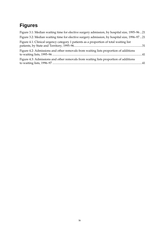## **Figures**

| Figure 3.1: Median waiting time for elective surgery admission, by hospital size, 1995-9621 |  |
|---------------------------------------------------------------------------------------------|--|
| Figure 3.2: Median waiting time for elective surgery admission, by hospital size, 1996-9721 |  |
| Figure 4.1: Clinical urgency category 1 patients as a proportion of total waiting list      |  |
| Figure 4.2: Admissions and other removals from waiting lists proportion of additions        |  |
| Figure 4.3: Admissions and other removals from waiting lists proportion of additions        |  |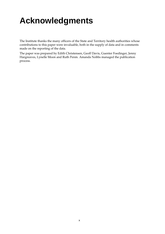# **Acknowledgments**

The Institute thanks the many officers of the State and Territory health authorities whose contributions to this paper were invaluable, both in the supply of data and in comments made on the reporting of the data.

The paper was prepared by Edith Christensen, Geoff Davis, Guenter Foedinger, Jenny Hargreaves, Lynelle Moon and Ruth Penm. Amanda Nobbs managed the publication process.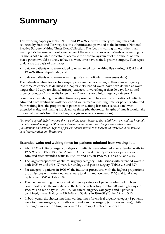# **Summary**

This working paper presents 1995–96 and 1996–97 elective surgery waiting times data collected by State and Territory health authorities and provided to the Institute's National Elective Surgery Waiting Times Data Collection. The focus is waiting times, rather than waiting lists because, without knowledge of the rate of turnover of patients on a waiting list, its size is not a reliable indicator of access to the hospital system or of the amount of time that a patient would be likely to have to wait, or to have waited, prior to surgery. Two types of data are the basis of this paper:

- data on patients who were added to or removed from waiting lists during 1995–96 and 1996–97 (throughput data), and
- data on patients who were on waiting lists at a particular time (census data).

The patients waiting for elective surgery are classified according to their clinical urgency into three categories, as detailed in Chapter 2. 'Extended waits' have been defined as waits longer than 30 days for clinical urgency category 1, waits longer than 90 days for clinical urgency category 2 and waits longer than 12 months for clinical urgency category 3.

Four measures relating to waiting times are presented. They are the proportion of patients admitted from waiting lists after extended waits, median waiting time for patients admitted from waiting lists, the proportion of patients on waiting lists (on a census date) with extended waits, and waiting list clearance times (the theoretical lengths of time it would take to clear all patients from the waiting lists, given several assumptions).

*Nationally agreed definitions are the basis of the paper, however the definitions used and the hospitals included varied among the States and Territories and with time. Comparisons between the jurisdictions and between reporting periods should therefore be made with reference to the notes on data interpretation and limitations.*

#### **Extended waits and waiting times for patients admitted from waiting lists**

- About 12% of clinical urgency category 1 patients were admitted after extended waits in 1995–96 and 14% in 1996–97. About 19% of clinical urgency category 2 patients were admitted after extended waits in 1995–96 and 17% in 1996–97 (Tables 3.1 and 3.2).
- The largest proportions of clinical urgency category 1 admissions with extended waits in both 1995–96 and 1996–97 were for urology and plastic surgery (Tables 3.6 and 3.7).
- For category 1 patients in 1996–97 the indicator procedures with the highest proportions of admissions with extended waits were total hip replacement (52%) and total knee replacement (54%) (Table 3.8).
- The median waiting time for clinical urgency category 1 patients admitted (in New South Wales, South Australia and the Northern Territory combined) was eight days in 1995–96 and nine days in 1996–97. For clinical urgency category 2 and 3 patients combined, it was 36 days in 1995–96 and 38 days in 1996–97 (Tables 3.9 and 3.10).
- In both years, the shortest median waiting times for clinical urgency category 1 patients were for neurosurgery, cardio-thoracic and vascular surgery (six or seven days), while the longest median waiting times were for urology (Tables 3.9 and 3.10).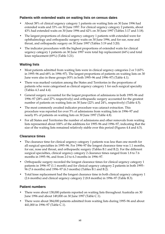#### **Patients with extended waits on waiting lists on census dates**

- About 38% of clinical urgency category 1 patients on waiting lists on 30 June 1996 had extended waits and 33% on 30 June 1997. For clinical urgency category 2 patients, about 43% had extended waits on 30 June 1996 and 42% on 30 June 1997 (Tables 3.17 and 3.18).
- The largest proportions of clinical urgency category 1 patients with extended were for ophthalmology and orthopaedic surgery waits on 30 June 1996, and for ear, nose and throat, and orthopaedic surgery on 30 June 1997 (Tables 3.19 and 3.20).
- The indicator procedures with the highest proportions of extended waits for clinical urgency category 1 patients on 30 June 1997 were total hip replacement (64%) and total knee replacement (69%) (Table 3.21).

#### **Waiting lists**

- Most patients admitted from waiting lists were in clinical urgency categories 2 or 3 (65% in 1995–96 and 68% in 1996–97). The largest proportions of patients on waiting lists on 30 June were also in these groups (93% in both 1995–96 and 1996–97) (Table 4.1).
- There was marked variation among the States and Territories in the proportions of patients who were categorised as clinical urgency category 1 for each surgical specialty (Tables 4.3 and 4.4).
- General surgery accounted for the largest proportion of admissions in both 1995–96 and 1996–97 (28% and 27% respectively) and orthopaedic surgery accounted for the greatest number of patients on waiting lists on 30 June (22% and 24%, respectively) (Table 4.5).
- The most commonly awaited indicator procedure was cataract extraction. This procedure was reported for over 5% of admissions from waiting lists in 1996–97 and nearly 8% of patients on waiting lists on 30 June 1997 (Table 4.8).
- For all States and Territories the number of admissions and other removals from waiting lists represented about 100% of the additions for 1995–96 and 1996–97, indicating that the size of the waiting lists remained relatively stable over this period (Figures 4.4 and 4.5).

#### **Clearance times**

- The clearance time for clinical urgency category 1 patients was less than one month for all surgical specialties in 1995–96. For 1996–97 the longest clearance time was 1.1 months, for ear, nose and throat, and orthopaedic surgery (Tables B.1 and B.2). For the different surgical specialties, clinical urgency category 2 clearance times ranged from 1.8 to 7.6 months in 1995–96, and from 2.0 to 6.3 months in 1996–97.
- Orthopaedic surgery recorded the longest clearance times for clinical urgency category 1 patients in 1996–97 (1.1 month) and for clinical urgency category 2 patients in both 1995– 96 (7.6 months) and 1996–97 (6.3 months) (Tables B.1 and B.2).
- Total knee replacement had the longest clearance time in both clinical urgency category 1 (2.6 months) and clinical urgency category 2 (8.8 months) in 1996–97 (Table B.3).

#### **Patient numbers**

- There were about 138,000 patients reported on waiting lists throughout Australia on 30 June 1996 and about 149,000 on 30 June 1997 (Table C.1).
- There were about 384,000 patients admitted from waiting lists during 1995–96 and about 441,000 in 1996–97 (Table C.1).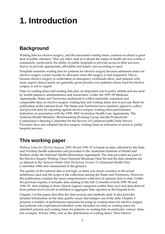# **1. Introduction**

## **Background**

Waiting lists for elective surgery, and the associated waiting times, continue to attract a great deal of public attention. They are often used to evaluate the status of health services within a community, particularly the ability of public hospitals to provide access to their services, that is, to provide appropriate, affordable and timely care according to need.

Hospitals maintain waiting lists for patients for elective surgery because admission dates for elective surgery cannot usually be allocated when the surgery is first requested. This is because elective surgery is undertaken as emergency workloads allow, and patients with more urgent clinical needs are generally given priority over patients whose need for elective surgery is not so urgent.

Data on waiting times and waiting lists play an important role in policy debate and are used by health planners, administrators and researchers. Under the 1993–98 Medicare Agreements, States and Territories undertook to collect nationally consistent and comparable data on elective surgery waiting lists and waiting times and to provide these for publication at the national level. The States and Territories have similarly agreed to collect and provide data for reporting against elective surgery waiting times performance indicators, in association with the 1998–2003 Australian Health Care Agreements. The National Health Ministers' Benchmarking Working Group and the Productivity Commission's Steering Committee for the Review of Commonwealth/State Service Provision have also adopted elective surgery waiting times as indicators of access to public hospital services.

## **This working paper**

*Waiting Times for Elective Surgery, 1995–96 and 1996–97* is based on data collected by the State and Territory health authorities and provided to the Australian Institute of Health and Welfare under the National Health Information Agreement. The data provided are part of the Elective Surgery Waiting Times National Minimum Data Set and the data elements are as defined in the *National Health Data Dictionary Version 5.0* (National Health Data Committee 1996) and summarised in the glossary.

The quality of the national data is not high, as there was much variation in the actual definitions used and the scope of the collections among the States and Territories. However, this publication contains the most comprehensive collection of national data to date. Unlike the previous reports, it includes data relating to the full 12 months of both 1995–96 and 1996–97, data relating to three clinical urgency categories (rather than two) and data derived from patient-level records in addition to aggregate data reported at the hospital level.

Chapter 2 of this paper describes the data sources and methods used. It also provides detailed information on the data quality issues that hamper use of the data. Chapter 3 presents a number of performance measures focusing on waiting times for elective surgery and patients who experienced extended waits. Included are data on waiting times for admitted patients and waiting times for patients on waiting lists on particular 'census' dates (for example, 30 June 1996), and on the distribution of waiting times. Then follows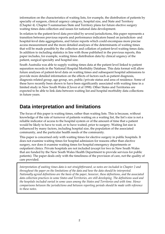information on the characteristics of waiting lists, for example, the distribution of patients by specialty of surgeon, clinical urgency category, hospital size, and State and Territory (Chapter 4). Chapter 5 summarises State and Territory plans for future elective surgery waiting times data collection and issues for national data development.

In relation to the patient-level data provided by several jurisdictions, this paper represents a transition between previous reports and performance indicators based on jurisdiction- and hospital-level data aggregations, and future reports which could encompass more precise access measurement and the more detailed analyses of the determinants of waiting times that will be made possible by the collection and collation of patient-level waiting times data. In addition to including statistics in line with those published in the previous reports, this paper includes, for example, waiting times distribution data by clinical urgency of the patient, surgical specialty and hospital size.

South Australia was able to supply waiting times data at the patient level linked to patient separation records in the National Hospital Morbidity Database. This data format will allow future analyses of patient-level data on waiting times and subsequent hospital admissions to provide more detailed information on the effects of factors such as patient diagnosis, diagnosis related group, age group, sex, public/private status and area of residence. Some of these have recently been shown to have been significantly associated with waiting time in a limited study in New South Wales (Clover et al 1998). Other States and Territories are expected to be able to link data between waiting list and hospital morbidity data collections in future years.

## **Data interpretation and limitations**

The focus of this paper is waiting times, rather than waiting lists. This is because, without knowledge of the rate of turnover of patients waiting on a waiting list, the list's size is not a reliable indicator of access to the hospital system or of the amount of time that a patient would be likely to have to wait, or to have waited, prior to surgery. Waiting list size is influenced by many factors, including hospital size, the population of the associated community, and the particular health needs of the community.

This paper is concerned only with waiting times for elective surgery in public hospitals. It does not examine waiting times for hospital admission for reasons other than elective surgery, nor does it examine waiting times for hospital emergency departments or outpatient clinics. Private hospitals are not included (except for two in New South Wales that are funded by the New South Wales Health Department to provide services for public patients). The paper deals only with the timeliness of the provision of care, not the quality of care provided.

*Interpretation of waiting times data is not straightforward, so notes are included in Chapter 2 and throughout the paper on the limitations of the data and how the data should be interpreted. Nationally agreed definitions are the basis of the paper, however, these definitions, and the associated data collection practices in some States and Territories, are still developing. The definitions used and the hospitals included varied in some cases among the States and Territories and with time. Hence comparisons between the jurisdictions and between reporting periods should be made with reference to these notes.*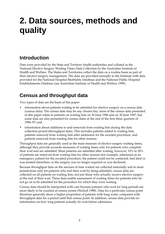# **2. Data sources, methods and quality**

## **Introduction**

Data were provided by the State and Territory health authorities and collated as the National Elective Surgery Waiting Times Data Collection by the Australian Institute of Health and Welfare. The States and Territories collect the data on a routine basis as part of their elective surgery management. The data are provided annually to the Institute with data provided for the National Hospital Morbidity Database and the National Public Hospital Establishments Database (see Australian Institute of Health and Welfare 1999).

## **Census and throughput data**

Two types of data are the basis of this paper:

- information about patients waiting to be admitted for elective surgery on a census date (census data). The census date may be any chosen day; most of the census data presented in this paper relate to patients on waiting lists on 30 June 1996 and on 30 June 1997, but some data are also presented for census dates at the end of the first three quarters of 1996–97; and
- information about additions to and removals from waiting lists during the data collection period (throughput data). This includes patients added to waiting lists, patients removed from waiting lists after admission for the awaited procedure, and patients removed from waiting lists for other reasons.

Throughput data are generally used as the main measure of elective surgery waiting times, although they provide accurate measures of waiting times only for patients who complete their wait and are admitted. Most patients are admitted after waiting, however, 10% to 20% of patients are removed from waiting lists for other reasons (for example, admission as an emergency patient for the awaited procedure; the patient could not be contacted, had died or was treated elsewhere; or the surgery was no longer required or was declined).

Because throughput data on the amount of time waited are collected nationally and in most jurisdictions only for patients who end their wait by being admitted, census data are collected on all patients on waiting lists, not just those who actually receive elective surgery at the end of their wait. These data enable assessment of waiting times for patients who do not go on to be admitted for the procedure for which they were waiting.

Census data should be interpreted with care because patients who wait for long periods are more likely to be counted at census points (Nicholl 1988). Data for a particular census point therefore generally show a higher proportion of patients with long waits, compared with throughput data for a period until that census point. In addition, census data provide no information on how long patients actually do wait before admission.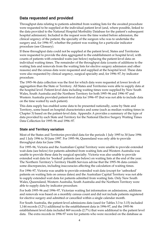### **Data requested and provided**

Throughput data relating to patients admitted from waiting lists for the awaited procedure were requested to be supplied at the individual patient level (and, where possible, linked to the data provided to the National Hospital Morbidity Database for the patient's subsequent hospital admission). Included in the request were the time waited before admission, the clinical urgency of the patient, the specialty of the surgeon who was to undertake the surgery and, for 1996–97, whether the patient was waiting for a particular indicator procedure (see Glossary).

If these throughput data could not be supplied at the patient level, States and Territories were requested to provide the data aggregated to the establishment or hospital level, with counts of patients with extended waits (see below) replacing the patient-level data on individual waiting times. The remainder of the throughput data (counts of additions to the waiting lists and removals from the waiting lists for elective surgery admission and other reasons) and the census data were requested and supplied at the hospital level. These data were also requested by clinical urgency, surgical specialty and, for 1996–97, by indicator procedure.

The 1995–96 data collection was the first for which data were requested at lower levels of aggregation than the State or Territory. All States and Territories were able to supply data at the hospital level. Patient-level data including waiting times were supplied by New South Wales, South Australia and the Northern Territory for both 1995–96 and 1996–97 and Western Australia provided patient-level data for 1996–97 (but was not able to include data on the time waited by each patient).

This data supply has enabled some data to be presented nationally, some by State and Territory, some based on hospital characteristics and some (such as median waiting times in Chapter 3) based on the patient-level data. Appendix A provides a summary of the type of data provided by each State and Territory for the National Elective Surgery Waiting Times Data Collection for 1995–96 and 1996–97.

#### **State and Territory variation**

Most of the States and Territories provided data for the periods 1 July 1995 to 30 June 1996 and 1 July 1996 to 30 June 1997. For 1995–96, Queensland was only able to provide throughput data for June 1996.

For 1995–96, Victoria and the Australian Capital Territory were unable to provide extended wait data (see below) for patients admitted from waiting lists and Western Australia was unable to provide these data by surgical specialty. Victoria was also unable to provide extended wait data for 'booked' patients (see below) on waiting lists at the end of the year. The Northern Territory's Territory Health Services advise that the 1995–96 data contain some discrepancies, including inaccuracies affecting the calculation of waiting times.

For 1996–97, Victoria was unable to provide extended wait data (except for 'unbooked' patients on waiting lists on census dates) and the Australian Capital Territory was not able to supply extended wait data for patients admitted from waiting lists. Only New South Wales, Queensland, Western Australia, South Australia and the Northern Territory were able to supply data by indicator procedure.

For both 1995–96 and 1996–97, Victorian waiting list information on admissions, additions and removals was based on a monthly census count and did not include patients registered for elective surgery and admitted or cancelled within a single calendar month.

For South Australia, the patient-level admissions data (used for Tables 3.3 to 3.15) included 1,144 records (3.2%) additional to the establishment data in 1996-97, and the 1995-96 establishment level data included 869 records (2.7%) that were additional to the patient level data. The extra records in 1996-97 were for patients who were recorded on the database as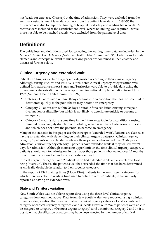not 'ready for care' (see Glossary) at the time of admission. They were excluded from the summary establishment level data but not from the patient level data. In 1995-96 the difference was due to imperfect linking of hospital morbidity and waiting list records. All records were included at the establishment level (where no linking was required), while those not able to be matched exactly were excluded from the patient level data.

## **Definitions**

The guidelines and definitions used for collecting the waiting times data are included in the *National Health Data Dictionary* (National Health Data Committee 1996). Definitions for data elements and concepts relevant to this working paper are contained in the Glossary and discussed further below.

### **Clinical urgency and extended wait**

Patients waiting for elective surgery are categorised according to their clinical urgency. Although during 1995–96 and 1996–97, a two-tiered clinical urgency categorisation was defined for national use, most States and Territories were able to provide data using the three-tiered categorisation which was approved for national implementation from 1 July 1997 (National Health Data Committee 1997):

- Category 1 admission within 30 days desirable for a condition that has the potential to deteriorate quickly to the point that it may become an emergency.
- Category 2 admission within 90 days desirable for a condition causing some pain, dysfunction or disability but which is not likely to deteriorate quickly or become an emergency.
- Category 3 admission at some time in the future acceptable for a condition causing minimal or no pain, dysfunction or disability, which is unlikely to deteriorate quickly and which does not have the potential to become an emergency.

Many of the statistics in this paper use the concept of 'extended wait'. Patients are classed as having an extended wait depending on their clinical urgency category. Clinical urgency category 1 patients with extended waits are those patients who waited over 30 days for admission; clinical urgency category 2 patients have extended waits if they waited over 90 days for admission. Although there is no upper limit on the time clinical urgency category 3 patients should wait for admission, in this paper those patients who waited over 12 months for admission are classified as having an extended wait.

Clinical urgency category 1 and 2 patients who had extended waits are also referred to as being 'overdue'. That is, the patient's wait has exceeded the time that has been determined as clinically desirable in relation to their urgency category.

In the report of 1995 waiting times (Moon 1996), patients in the least urgent category (for which there was also no waiting time used to define 'overdue' patients) were similarly reported as having an extended wait.

### **State and Territory variation**

New South Wales was not able to report data using the three-level clinical urgency categorisation described above. Data from New South Wales were reported using a clinical urgency categorisation that was mappable to clinical urgency category 1 and a combined category of clinical urgency categories 2 and 3. While New South Wales patients were able to be assigned to category 1 (the most urgent category) (and a combined category 2 and 3), it is possible that classification practices may have been affected by the number of clinical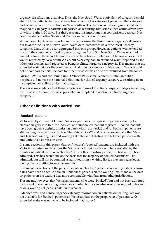urgency classifications available. Thus, the New South Wales equivalent of category 1 could also include patients that would have been classified as category 2 patients if that category had been available. In addition, in New South Wales, there were two subgroups that were mapped to category 1: patients categorised as requiring admission either within seven days or within eight to 30 days. For these reasons, it is important that comparisons between New South Wales and other States and Territories be made with care.

Where possible, data are reported in this paper using the three clinical urgency categories, but to allow inclusion of New South Wales data, sometimes data for clinical urgency categories 2 and 3 have been aggregated into one group. However, patients with extended waits in the combined clinical urgency categories 2 and 3 in New South Wales who had waited between three and 12 months would have been counted as not having an extended wait if reported by New South Wales, but as having had an extended wait if reported by the other jurisdictions (and reported as being in clinical urgency category 2). This means that the extended wait data for the combined clinical urgency category in New South Wales would not be comparable with the data for other jurisdictions and so are excluded from the tables.

During 1995–96 and continuing until October 1996, some Western Australian public hospitals did not use the national definitions for clinical urgency category 2, resulting in an incomplete data collection for that category.

There is some evidence that there is variation in use of the clinical urgency categories among the jurisdictions; some of this is presented in Chapter 4 in relation to clinical urgency category 1.

### **Other definitions with varied use**

#### **'Booked' patients**

Victoria's Department of Human Services partitions the register of patients waiting for elective surgery into two, the 'booked' and 'unbooked' patient registers. 'Booked' patients have been given a definite admission date (within six weeks) and 'unbooked' patients are still waiting for an admission date. The *National Health Data Dictionary* and all other State and Territory waiting lists and waiting list data do not distinguish between patients with and without an admission date.

In some sections of this paper, data on Victoria's 'booked' patients are included with the Victorian admissions data, thus the Victorian admissions data will be overstated by the number of patients who were 'booked' during this reporting period, but had not yet been admitted. This has been done on the basis that the majority of booked patients will be admitted, but will not be counted as admitted from a waiting list (as they are regarded as having been admitted from a 'booked' list).

In some other sections of the paper, the data on 'booked' patients on waiting lists on census dates have been added to data on 'unbooked' patients on the waiting lists, to make the data on patients on the waiting lists more comparable with data from other jurisdictions.

This means, however, that Victorian patients who were 'booked', but had not been admitted by the end of each reporting period are counted both as an admission (throughput data) and as on a waiting list (census data) in this paper.

Extended wait and clinical urgency category information on patients on waiting lists was not available for 'booked' patients, so Victorian data on the proportion of patients with extended waits was not able to be included in Chapter 3.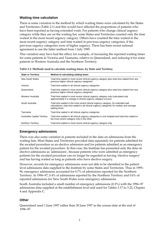#### **Waiting time calculation**

There is some variation in the method by which waiting times were calculated by the States and Territories (Table 2.1) and this would have affected the proportions of patients who have been reported as having extended waits. For patients who change clinical urgency category while they are on the waiting list, some States and Territories counted only the time waited in the most recent urgency category. Others have counted the time waited in the most recent urgency category and time waited in previous urgency categories, if the previous urgency categories were of higher urgency. There has been recent national agreement to use the latter method from 1 July 1999.

This variation may have had the effect, for example, of increasing the reported waiting times for some patients in Victoria and Tasmania, relative to Queensland, and reducing it for some patients in Western Australia and the Northern Territory.

| <b>State or Territory</b>           | Method of calculating waiting times                                                                                                                                                             |
|-------------------------------------|-------------------------------------------------------------------------------------------------------------------------------------------------------------------------------------------------|
| New South Wales                     | Total time waited in most recent clinical urgency category plus total time waited from any<br>previous higher clinical urgency categories                                                       |
| Victoria                            | Total time waited in all clinical urgency categories                                                                                                                                            |
| Queensland                          | Total time waited in most recent clinical urgency category plus total time waited from any<br>previous higher clinical urgency categories                                                       |
| Western Australia                   | Total time waited in most recent clinical urgency category only (calculated only<br>approximately if a change in clinical urgency category occurs)                                              |
| South Australia                     | Total time waited in the most recent clinical urgency category, for extended wait<br>calculations; total time waited in all clinical urgency categories for median and average<br>waiting times |
| Tasmania                            | Total time waited in all clinical urgency categories                                                                                                                                            |
| <b>Australian Capital Territory</b> | Total time waited in all clinical urgency categories in one hospital and total time waited in<br>the most recent category only in the other                                                     |
| Northern Territory                  | Total time waited in most recent clinical urgency category only                                                                                                                                 |

**Table 2.1: Methods used to calculate waiting times, by State and Territory**

### **Emergency admissions**

There was also some variation in patients included in the data on admissions from the waiting lists. Most States and Territories provided data separately for patients admitted for the awaited procedure as an elective admission and for patients admitted as an emergency patient for the awaited procedure. In that case, the Institute has presented only the data on elective admissions as 'admissions', because patients who were admitted as emergency patients for the awaited procedure can no longer be regarded as having 'elective surgery' and has having waited as long as patients who have elective surgery.

However, records for emergency admissions were not able to be identified in the patient level admissions data supplied to the Institute by some States and Territories. Thus in 1995– 96, emergency admissions accounted for 0.7% of admissions reported for the Northern Territory. In 1996–97, 0.4% of admissions reported by the Northern Territory and 0.6% of reported admissions for New South Wales were emergency admissions.

South Australia included a small number of emergency admissions (0.2%) with the 1996–97 admissions data supplied at the establishment level and used for Tables 3.17 to 3.22, Chapter 4 and Appendix C.

### **Other**

Queensland used 1 June 1997 rather than 30 June 1997 as the census date at the end of 1996–97.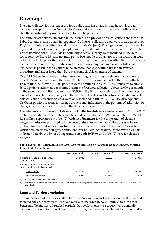## **Coverage**

The data collected for this paper are for public acute hospitals. Private hospitals are not included, except for two in New South Wales that are funded by the New South Wales Health Department to provide services for public patients.

The numbers of patients included in the current and previous data collections are shown in Table 2.2 (and in more detail in Appendix C). In each collection, data were included on over 110,000 patients on waiting lists at the census date (30 June). This figure cannot, however, be regarded as the total number of people awaiting treatment for elective surgery in Australia. This is because not all hospitals undertaking elective surgery were included in the data collection (see Table 2.3) and no attempt has been made to adjust for the hospitals that were not included. Hospitals that were not included may have different waiting list characteristics compared with reporting hospitals and in some cases may not have waiting lists at all. Further, it is possible for a patient to be on more than one waiting list for an awaited procedure, making it likely that there was some double counting of patients.

Over 215,000 patients were admitted from waiting lists during the six months January to June 1995, in the next 12 months 384,000 patients were admitted, and in the 12 months July 1996 to June 1997, over 441,000 patients were admitted (Table 2.2). This translates to almost 36,000 patients admitted per month during the first data collection, about 32,000 per month in the second data collection, and over 36,000 in the third data collection. The differences are likely to be largely due to changes in the number of States and Territories included in each data collection. Queensland data were only included in full in 1996–97 (see also Appendix C). Other possible reasons for change are seasonal influences in the patterns of admission or changes in the hospitals included in the data collections.

The admissions from waiting lists reported to the Institute represented about 11% of the 3.57 million separations from public acute hospitals in Australia in 1995–96 and about 12% of the 3.62 million separations in 1996–97. With an adjustment for the proportion of elective surgery admissions estimated to have been omitted from the data collections (see below) (but not for the total separations from the two private hospitals in New South Wales for which data on elective surgery admissions, but not total separations, were available), this indicates that about 15% of all separations in both 1995–96 and 1996–97 were for elective surgery.

|                                                                           | Jan – Jun 1995 <sup>(a)</sup> | Jul 1995 – Jun 1996 <sup>(b)</sup> | Jul 1996 – Jun 1997 <sup>(b)</sup> |
|---------------------------------------------------------------------------|-------------------------------|------------------------------------|------------------------------------|
| Patients on waiting lists at census<br>date (30 June)                     | 113.332                       | 137.694                            | 149,157                            |
| Patients admitted from waiting lists<br>during the data collection period |                               |                                    |                                    |
| Total number                                                              | 215.734                       | $383,927^{(a)}$                    | 441.076                            |
| Number per month                                                          | 35,956                        | $31,994^{(a)}$                     | 36,756                             |

**Table 2.2: Patients included in the 1995, 1995–96 and 1996–97 National Elective Surgery Waiting Times Data Collections**

(a) Source: Moon 1996. Excludes Queensland.

(b) Includes Victorian 'booked' patients in counts of both patients on waiting lists and patients admitted from waiting lists. See Appendix C for more detail.

#### **State and Territory variation**

In some States and Territories, all public hospitals were included in the data collection and, as noted above, two private hospitals were also included in New South Wales. In other States and Territories, all public hospitals that perform elective surgery were generally included, although in some States and Territories, data were not collected for some smaller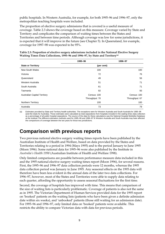public hospitals. In Western Australia, for example, for both 1995–96 and 1996–97, only the metropolitan teaching hospitals were included.

The proportion of elective surgery admissions that is covered is a useful measure of coverage. Table 2.3 shows the coverage based on this measure. Coverage varied by State and Territory and complicates the comparison of waiting times between the States and Territories and between time periods. Although coverage was low for some jurisdictions, it is expected that it will improve in the future (see Chapter 5). In Queensland, for example, coverage for 1997–98 was expected to be 95%.

|                                     | 1995-96        | 1996-97        |
|-------------------------------------|----------------|----------------|
| <b>State or Territory</b>           | (per cent)     |                |
| <b>New South Wales</b>              | 100            | 100            |
| Victoria                            | 72             | 76             |
| Queensland                          | 49             | 56             |
| Western Australia                   | 51             | 71             |
| South Australia                     | 61             | 71             |
| Tasmania                            | 92             | 93             |
| <b>Australian Capital Territory</b> | Census: 100    | Census: 100    |
|                                     | Throughput: 70 | Throughput: 67 |
| <b>Northern Territory</b>           | 100            | 100            |
| Australia                           | 73             | 79             |

| Table 2.3: Proportion of elective surgery admissions included in the National Elective Surgery |
|------------------------------------------------------------------------------------------------|
| Waiting Times Data Collections, 1995–96 and 1996–97, by State and Territory <sup>(a)</sup>     |

(a) Estimates provided by State and Territory health authorities. The exceptions were for Western Australia and South Australia for 1995–96 (and the totals for Australia). Those estimates were calculated as total separations from hospitals included in the waiting times data collection as a percentage of all public hospital separations. The source of the data for these calculations was the National Hospital Morbidity Database at the Institute.The different estimation methods used for 1995–96 and 1996–97 fir Western Australia and South Australia may have affected the comparisons of coverage between the two years for those two jurisdictions.

## **Comparison with previous reports**

Two previous national elective surgery waiting times reports have been published by the Australian Institute of Health and Welfare, based on data provided by the States and Territories relating to a period in 1994 (Mays 1995) and to the period January to June 1995 (Moon 1996). Some national data for 1995–96 were also published by the Institute in *Australia's Health 1998* (Australian Institute of Health and Welfare 1998).

Only limited comparisons are possible between performance measure data included in this and the 1995 national elective surgery waiting times report (Moon 1996), for several reasons. First, the 1995–96 and 1996–97 data collection periods were 12 months, whereas the 1995 data collection period was January to June 1995. Any seasonal effects on the 1995 data will therefore have been less evident in the annual data of the later two data collections. For 1996–97, however, most of the States and Territories were able to supply data relating to each quarter, affording the opportunity to assess seasonal fluctuations for the first time.

Second, the coverage of hospitals has improved with time. This means that comparison of the size of waiting lists is particularly problematic. Coverage of patients is also not the same as in 1995. The Victorian Department of Human Services provided data for the 1995 report on 'booked' patients on the waiting lists (patients who have been given a definite admission date within six weeks), and 'unbooked' patients (those still waiting for an admission date). For 1995–96 and 1996–97, only limited data on 'booked' patients were available. This restricts the ability to compare Victorian data with data for previous periods.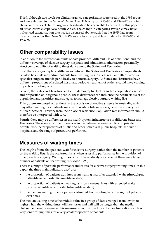Third, although two levels for clinical urgency categorisation were used in the 1995 report and were defined in the *National Health Data Dictionary* for 1995–96 and 1996–97, as noted above, a three-level clinical urgency classification has been able to be used for this paper by all jurisdictions except New South Wales. The change in categories available may have influenced categorisation practice (as discussed above) such that the 1995 data from jurisdictions other than New South Wales are less comparable with data for 1995–96 and 1996–97.

## **Other comparability issues**

In addition to the different amounts of data provided, different use of definitions, and the different coverage of elective surgery hospitals and admissions, other factors potentially affect comparability of waiting times data among the States and Territories.

First, there are geographical differences between the States and Territories. Comparatively isolated hospitals may admit patients from waiting lists in a less regular pattern, when a specialist surgeon attends periodically to perform surgery. As States and Territories have different proportions of isolated hospitals, periodic treatment of patients could have varying impacts on waiting lists.

Second, the States and Territories differ in demographic factors such as population age, sex and proportion of Indigenous people. These differences can influence the health status of the population and priorities and strategies to manage elective surgery waiting lists.

Third, there are cross-border flows in the provision of elective surgery in Australia, which may affect waiting lists. Patients may be on waiting lists or undergo elective surgery in a different State or Territory from their place of residence. Population rate information should therefore be interpreted with care.

Fourth, there may be differences in the health system infrastructure of different States and Territories. These may include differences in the balance between public and private hospital use, the proportions of public and other patients in public hospitals, the size of hospitals, and the range of procedures performed.

## **Measures of waiting times**

The length of time that patients wait for elective surgery, rather than the number of patients on the waiting lists, is the preferred focus when assessing performance in the provision of timely elective surgery. Waiting times can still be relatively short even if there are a large number of patients on the waiting list (Moon 1996).

There is a range of possible performance indicators for elective surgery waiting times. In this paper, the three main indicators used are:

- the proportion of patients admitted from waiting lists after extended waits (throughput patient-level and establishment-level data)
- the proportion of patients on waiting lists (on a census date) with extended waits (census patient-level and establishment-level data)
- the median waiting time for patients admitted from waiting lists (throughput patientlevel data).

The median waiting time is the middle value in a group of data arranged from lowest to highest; half the waiting times will be shorter and half will be longer than the median. Unlike the mean, or average, this measure is not distorted by extreme observations such as very long waiting times for a very small proportion of patients.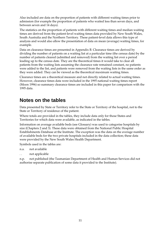Also included are data on the proportion of patients with different waiting times prior to admission (for example the proportion of patients who waited less than seven days, and between seven and 14 days).

The statistics on the proportion of patients with different waiting times and median waiting times are derived from the patient-level waiting times data provided by New South Wales, South Australia and the Northern Territory. These patient-level data allows this type of analysis and would also allow the presentation of data on mean (average) waiting times, for example.

Data on clearance times are presented in Appendix B. Clearance times are derived by dividing the number of patients on a waiting list at a particular time (the census date) by the number of patients cleared (admitted and removed) from the waiting list over a period leading up to the census date. They are the theoretical times it would take to clear all patients from the waiting lists assuming the clearance rate remained constant, no patients were added to the list, and patients were removed from the waiting lists in the same order as they were added. They can be viewed as the theoretical maximum waiting times.

Clearance times are a theoretical measure and not directly related to actual waiting times. However, clearance times data were included in the 1995 national waiting times report (Moon 1996) so summary clearance times are included in this paper for comparison with the 1995 data.

## **Notes on the tables**

Data presented by State or Territory refer to the State or Territory of the hospital, not to the State or Territory of residence of the patient.

Where totals are provided in the tables, they include data only for those States and Territories for which data were available, as indicated in the tables.

Information on average available beds (see Glossary) was used to categorise hospitals by size (Chapters 2 and 3). These data were obtained from the National Public Hospital Establishments Database at the Institute. The exception was the data on the average number of available beds for the two private hospitals included in the data collection; these data were provided by the New South Wales Health Department.

Symbols used in the tables are:

- n.a. not available
- . . not applicable

n.p. not published (the Tasmanian Department of Health and Human Services did not authorise separate publication of some data it provided to the Institute).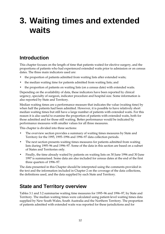# **3. Waiting times and extended waits**

## **Introduction**

This chapter focuses on the length of time that patients waited for elective surgery, and the proportions of patients who had experienced extended waits prior to admission or on census dates. The three main indicators used are:

- the proportion of patients admitted from waiting lists after extended waits;
- the median waiting time for patients admitted from waiting lists; and
- the proportion of patients on waiting lists (on a census date) with extended waits.

Depending on the availability of data, these indicators have been reported by clinical urgency, specialty of surgeon, indicator procedure and hospital size. Some information is also reported by State and Territory.

Median waiting times are a performance measure that indicates the value (waiting time) by when half the patients had been admitted. However, it is possible to have relatively short median waiting times but still have a large number of patients with extended waits. For this reason it is also useful to examine the proportion of patients with extended waits, both for those admitted and for those still waiting. Better performance would be indicated by performance measures with smaller values for all three measures.

This chapter is divided into three sections:

- The overview section provides a summary of waiting times measures by State and Territory for the 1995, 1995–1996 and 1996–97 data collection periods.
- The next section presents waiting times measures for patients admitted from waiting lists during 1995–96 and 1996–97. Some of the data in this section are based on a subset of States and Territories only.
- Finally, the time already waited by patients on waiting lists on 30 June 1996 and 30 June 1997 is summarised. Some data are also included for census dates at the end of the first three quarters of 1996–97.

The data presented in this Chapter should be interpreted using the comments provided in the text and the information included in Chapter 2 on the coverage of the data collections, the definitions used, and the data supplied by each State and Territory.

## **State and Territory overview**

Tables 3.1 and 3.2 summarise waiting time measures for 1995–96 and 1996–97, by State and Territory. The median waiting times were calculated using patient-level waiting times data supplied by New South Wales, South Australia and the Northern Territory. The proportion of patients admitted with extended waits was reported for these jurisdictions and for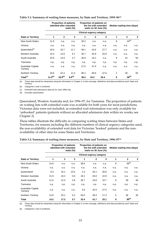|                                 |                     | <b>Proportion of patients</b><br>admitted after extended | waits $(\%)$       |              | Proportion of patients on<br>the list with extended<br>waits on 30 June $(\%)$ |      |                | Median waiting time (days) |      |
|---------------------------------|---------------------|----------------------------------------------------------|--------------------|--------------|--------------------------------------------------------------------------------|------|----------------|----------------------------|------|
|                                 |                     |                                                          |                    |              | <b>Clinical urgency category</b>                                               |      |                |                            |      |
| <b>State or Territory</b>       | 1                   | $\mathbf{2}$                                             | 3                  | $\mathbf{1}$ | $\mathbf{2}$                                                                   | 3    | 1              | $\mathbf{2}$               | 3    |
| New South Wales                 | 11.9                | n.a.                                                     | n.a.               | 35.2         | n.a.                                                                           | n.a. | 8              | $34^{(b)}$                 |      |
| Victoria                        | n.a.                | n.a.                                                     | n.a.               | n.a.         | n.a.                                                                           | n.a. | n.a.           | n.a.                       | n.a. |
| Queensland <sup>(c)</sup>       | 19.0                | 16.7                                                     | 11.7               | 49.1         | 42.6                                                                           | 27.7 | n.a.           | n.a.                       | n.a. |
| Western Australia               | 10.4                | 12.8                                                     | 6.7                | 35.7         | 45.8                                                                           | 20.9 | n.a.           | n.a.                       | n.a. |
| South Australia                 | 10.9                | 14.9                                                     | 4.7                | 26.9         | 16.1                                                                           | n.a. | 9              | 41                         | 50   |
| Tasmania                        | n.p.                | n.p.                                                     | n.p.               | n.p.         | n.p.                                                                           | n.p. | n.p.           | n.p.                       | n.p. |
| Australian Capital<br>Territory | n.a.                | n.a.                                                     | n.a.               | 27.0         | 47.4                                                                           | n.a. | n.a.           | n.a.                       | n.a. |
| <b>Northern Territory</b>       | 18.6                | 22.4                                                     | 11.5               | 80.2         | 60.6                                                                           | 47.6 | $\overline{2}$ | 30                         | 50   |
| Total <sup>(c)</sup>            | 11.5 <sup>(d)</sup> | $18.9^{(d)}$                                             | 6.9 <sup>(d)</sup> | 38.2         | 43.2                                                                           | 26.4 | 8              | $36^{(b)}$                 |      |

#### **Table 3.1: Summary of waiting times measures, by State and Territory, 1995–96(a)**

(a) These data should be interpreted using the information in Chapter 2 on the coverage, definitions and data provided by each State and Territory.

(b) Categories 2 and 3 combined.

(c) Extended wait admissions data are for June 1996 only.

(d) Excludes Queensland.

Queensland, Western Australia and, for 1996–97, for Tasmania. The proportion of patients on waiting lists with extended waits was available for both years for most jurisdictions. Victorian data were not included, as extended wait information was only available for 'unbooked' patients (patients without an allocated admission date within six weeks; see Chapter 2).

These tables illustrate the difficulty in comparing waiting times between States and Territories, for reasons including the different numbers of clinical urgency categories used, the non-availability of extended wait data for Victorian 'booked' patients and the nonavailability of other data for some States and Territories.

|                                 |      | <b>Proportion of patients</b><br>admitted with extended | waits $(\%)$ |      | Proportion of patients on<br>the list with extended<br>waits on 30 June $(\%)$ |      |      | Median waiting time (days) |      |
|---------------------------------|------|---------------------------------------------------------|--------------|------|--------------------------------------------------------------------------------|------|------|----------------------------|------|
|                                 |      |                                                         |              |      | <b>Clinical urgency category</b>                                               |      |      |                            |      |
| <b>State or Territory</b>       | 1    | $\mathbf{2}$                                            | 3            | 1    | $\mathbf{2}$                                                                   | 3    | 1    | $\mathbf{2}$               | 3    |
| New South Wales                 | 14.9 | n.a.                                                    | n.a.         | 38.6 | n.a.                                                                           | n.a. | 9    | $38^{(b)}$                 |      |
| Victoria                        | n.a. | n.a.                                                    | n.a.         | n.a. | n.a.                                                                           | n.a. | n.a. | n.a.                       | n.a. |
| Queensland                      | 8.3  | 16.1                                                    | 10.5         | 2.3  | 44.1                                                                           | 30.8 | n.a. | n.a.                       | n.a. |
| Western Australia               | 21.9 | 16.2                                                    | 0.0          | 18.1 | 26.0                                                                           | 22.9 | n.a. | n.a.                       | n.a. |
| South Australia                 | 11.6 | 12.3                                                    | 3.8          | 26.7 | 19.6                                                                           | 10.7 | 8    | 38                         | 48   |
| Tasmania                        | n.p. | n.p.                                                    | n.p.         | n.p. | n.p.                                                                           | n.p. | n.p. | n.p.                       | n.p. |
| Australian Capital<br>Territory | n.a. | n.a.                                                    | n.a.         | 4.8  | 42.5                                                                           | 27.5 | n.a. | n.a.                       | n.a. |
| Northern Territory              | 12.8 | 20.1                                                    | 5.2          | 50.0 | 39.4                                                                           | 17.4 | 5    | 36                         | 35   |
| Total                           | 14.2 | 17.2                                                    | 5.7          | 33.4 | 41.7                                                                           | 25.1 | 9    | $38^{(b)}$                 |      |

|  | Table 3.2: Summary of waiting times measures, by State and Territory, 1996-97 <sup>(a)</sup> |  |  |
|--|----------------------------------------------------------------------------------------------|--|--|
|  |                                                                                              |  |  |

(a) These data should be interpreted using the information in Chapter 2 on the coverage, definitions and data provided by each State and Territory.

(b) Categories 2 and 3 combined.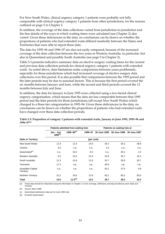For New South Wales, clinical urgency category 1 patients were probably not fully comparable with clinical urgency category 1 patients from other jurisdictions, for the reasons outlined on page 5 in Chapter 2.

In addition, the coverage of the data collections varied from jurisdiction to jurisdiction and the fine details of the ways in which waiting times were calculated (see Chapter 2) also varied. Given these deficiencies in the data, no conclusions can be drawn on whether the proportions of patients who had extended waits differed markedly between the States and Territories that were able to report these data.

The data for 1995–96 and 1996–97 are also not easily compared, because of the increased coverage of the data collection between the two years in Western Australia, in particular, but also in Queensland and possibly South Australia (see page 9 in Chapter 2).

Table 3.3 presents indicative summary data on elective surgery waiting times for the current and previous data collection periods for clinical urgency category 1 patients with extended waits. As noted above, data limitations make comparisons between years problematic, especially for those jurisdictions which had increased coverage of elective surgery data collections over this period. It is also possible that comparisons between the 1995 period and the later periods may be due to seasonal factors. This is because the first period covered the six months between January and June, while the second and third periods covered the 12 months between July and June.

In addition, the data for January to June 1995 were collected using a two-tiered clinical urgency categorisation, which means that the data are less comparable between that 1995 period and the later periods for those jurisdictions (all except New South Wales) which changed to a three tier categorisation in 1995–96. Given these deficiencies in the data, no conclusions can be drawn on whether the proportions of patients who had extended waits have changed over these data collection periods.

|                                        |                             | Patients admitted from waiting lists |            |              | Patients on waiting lists at |              |  |
|----------------------------------------|-----------------------------|--------------------------------------|------------|--------------|------------------------------|--------------|--|
|                                        | $Jan - Jun$<br>$1995^{(b)}$ | $1995 - 96^{(c)}$                    | 1996-97    | 30 June 1995 | 30 June 1996                 | 30 June 1997 |  |
| <b>State or Territory</b>              |                             |                                      | (per cent) |              |                              |              |  |
| New South Wales                        | 11.9                        | 11.9                                 | 14.9       | 26.2         | 35.2                         | 38.6         |  |
| Victoria                               | 3.0                         | n.a.                                 | n.a.       | 3.4          | n.a.                         | n.a.         |  |
| Queensland <sup>(c)</sup>              | n.a.                        | 19.0                                 | 8.3        | n.a.         | 49.1                         | 2.3          |  |
| Western Australia                      | 6.5                         | 10.4                                 | 21.9       | 25.6         | 35.7                         | 18.1         |  |
| South Australia                        | 11.3                        | 10.9                                 | 11.6       | 32.7         | 26.9                         | 26.7         |  |
| Tasmania                               | 17.4                        | n.p.                                 | n.p.       | 40.6         | n.p.                         | n.p.         |  |
| <b>Australian Capital</b><br>Territory | n.a.                        | n.a.                                 | n.a.       | 50.1         | 27.0                         | 4.8          |  |
| <b>Northern Territory</b>              | 21.2                        | 18.6                                 | 12.8       | 83.1         | 80.2                         | 50.0         |  |
| <b>Total</b>                           | 10.5                        | 11.5 <sup>(d)</sup>                  | 14.2       | 26.7         | 38.2                         | 33.4         |  |

**Table 3.3: Proportion of category 1 patients with extended waits, January to June 1995, 1995–96 and 1996–97(a)**

(a) These data should be interpreted using the information in Chapter 2 on the coverage, definitions and data provided by each State and Territory.

(b) Source: Moon 1996.

(c) Queensland admissions data are for June 1996 only.

(d) Excludes Queensland.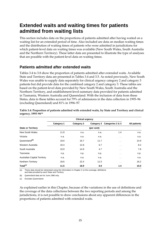## **Extended waits and waiting times for patients admitted from waiting lists**

This section includes data on the proportions of patients admitted after having waited on a waiting list for an extended period of time. Also included are data on median waiting times and the distribution of waiting times of patients who were admitted in jurisdictions for which patient-level data on waiting times was available (New South Wales, South Australia and the Northern Territory). These latter data are presented to illustrate the type of analyses that are possible with the patient-level data on waiting times.

### **Patients admitted after extended waits**

Tables 3.4 to 3.8 show the proportion of patients admitted after extended waits. Available State and Territory data are presented in Tables 3.4 and 3.5. As noted previously, New South Wales was unable to supply data separately for clinical urgency category 2 and category 3 patients but did provide data for the combined category 2 and category 3. These tables are based on the patient-level data provided by New South Wales, South Australia and the Northern Territory, and establishment-level summary data provided for patients admitted in Tasmania, Western Australia and Queensland. With the inclusion of data from these States, data in these tables account for 79% of admissions in the data collection in 1995–96 (excluding Queensland) and 81% in 1996–97.

| <b>Clinical urgency</b>             |            |                   |            |                  |              |
|-------------------------------------|------------|-------------------|------------|------------------|--------------|
|                                     | Category 1 | <b>Category 2</b> | Category 3 | Categories 2 & 3 | All patients |
| <b>State or Territory</b>           |            |                   | (per cent) |                  |              |
| New South Wales                     | 11.9       | n.a.              | n.a.       | 1.4              | n.a.         |
| Victoria                            | n.a.       | n.a.              | n.a.       | $\sim$ $\sim$    | n.a.         |
| Queensland <sup>(b)</sup>           | 19.0       | 16.7              | 11.7       | $\sim$ $\sim$    | 14.9         |
| Western Australia                   | 10.4       | 12.8              | 6.7        | $\cdot$ $\cdot$  | 8.2          |
| South Australia                     | 10.9       | 14.9              | 4.7        | $\sim$ $\sim$    | 7.8          |
| Tasmania                            | n.p.       | n.p.              | n.p.       | $\sim$ $\sim$    | n.p.         |
| <b>Australian Capital Territory</b> | n.a.       | n.a.              | n.a.       | $\sim$ $\sim$    | n.a.         |
| Northern Territory                  | 18.6       | 22.4              | 11.5       | $\sim$ $\sim$    | 16.2         |
| Total <sup>(c)</sup>                | 11.5       | 18.9              | 6.9        | 1.4              | 10.0         |

| Table 3.4: Proportion of patients admitted with extended waits, by State and Territory and clinical |  |  |
|-----------------------------------------------------------------------------------------------------|--|--|
| urgency, $1995-96$ <sup>(a)</sup>                                                                   |  |  |

(a) These data should be interpreted using the information in Chapter 2 on the coverage, definitions and data provided by each State and Territory.

(b) Queensland data are for June 1996 only.

(c) Excludes Queensland.

As explained earlier in this Chapter, because of the variations in the use of definitions and the coverage of the data collections between the two reporting periods and among the jurisdictions, it is not possible to draw conclusions about any apparent differences in the proportions of patients admitted with extended waits.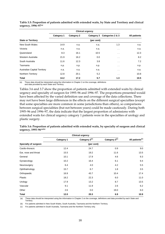|                                     | Category 1 | Category 2 | Category 3 | Categories 2 & 3     | All patients |
|-------------------------------------|------------|------------|------------|----------------------|--------------|
| <b>State or Territory</b>           |            |            | (per cent) |                      |              |
| New South Wales                     | 14.9       | n.a.       | n.a.       | 1.3                  | n.a.         |
| Victoria                            | n.a.       | n.a.       | n.a.       | $\ddot{\phantom{0}}$ | n.a.         |
| Queensland                          | 8.3        | 16.1       | 10.5       | $\sim$               | 12.3         |
| Western Australia                   | 21.9       | 16.2       | 0.0        | $\cdot$ .            | 8.2          |
| South Australia                     | 11.6       | 12.3       | 3.8        | $\ddotsc$            | 7.2          |
| Tasmania                            | n.p.       | n.p.       | n.p.       | $\ddotsc$            | n.p.         |
| <b>Australian Capital Territory</b> | n.a.       | n.a.       | n.a.       | $\ddotsc$            | n.a.         |
| <b>Northern Territory</b>           | 12.8       | 20.1       | 5.2        | $\ddotsc$            | 10.8         |
| Total                               | 14.2       | 17.2       | 5.7        | 1.3                  | 10.5         |

| Table 3.5: Proportion of patients admitted with extended waits, by State and Territory and clinical |  |  |
|-----------------------------------------------------------------------------------------------------|--|--|
| urgency, $1996 - 97^{(a)}$                                                                          |  |  |

(a) These data should be interpreted using the information in Chapter 2 on the coverage, definitions and data provided by each State and Territory.

Tables 3.6 and 3.7 show the proportion of patients admitted with extended waits by clinical urgency and specialty of surgeon for 1995–96 and 1996–97. The proportions presented would have been affected by the varied definition use and coverage of the data collections. There may not have been large differences in the effects on the different surgical specialties (except that some specialties are more common in some jurisdictions than others), so comparisons between surgical specialities (but not between years) could be made cautiously. During both 1995–96 and 1996–97, the data indicate that the largest proportion of admissions with extended waits for clinical urgency category 1 patients were in the specialties of urology and plastic surgery.

|                      | <b>Clinical urgency</b> |                           |               |                             |
|----------------------|-------------------------|---------------------------|---------------|-----------------------------|
|                      | <b>Category 1</b>       | Category 2 <sup>(c)</sup> | Category 3(c) | All patients <sup>(c)</sup> |
| Specialty of surgeon |                         | (per cent)                |               |                             |
| Cardio-thoracic      | 12.4                    | 24.7                      | 0.9           | 9.0                         |
| Ear, nose and throat | 15.5                    | 19.2                      | 11.6          | 13.5                        |
| General              | 10.1                    | 17.9                      | 4.6           | 9.3                         |
| Gynaecology          | 10.2                    | 16.4                      | 6.1           | 9.4                         |
| Neurosurgery         | 6.4                     | 4.0                       | 4.2           | 5.5                         |
| Ophthalmology        | 15.7                    | 6.7                       | 1.8           | 3.5                         |
| Orthopaedic          | 16.9                    | 43.7                      | 10.4          | 17.4                        |
| Plastic              | 18.2                    | 22.3                      | 6.0           | 11.0                        |
| Urology              | 17.9                    | 13.2                      | 8.7           | 13.5                        |
| Vascular             | 9.1                     | 11.9                      | 2.6           | 6.2                         |
| Other                | 2.6                     | 0.0                       | 19.0          | 6.0                         |
| <b>Total</b>         | 12.0                    | 20.3                      | 6.9           | 10.9                        |

**Table 3.6: Proportion of patients admitted with extended waits, by specialty of surgeon and clinical urgency, 1995–96(a)(b)**

(a) These data should be interpreted using the information in Chapter 2 on the coverage, definitions and data provided by each State and Territory.

(b) For patients admitted in New South Wales, South Australia, Tasmania and the Northern Territory.

(c) For patients admitted in South Australia, Tasmania and the Northern Territory only.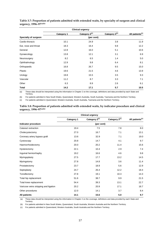|                             | <b>Clinical urgency</b> |                           |                           |                             |
|-----------------------------|-------------------------|---------------------------|---------------------------|-----------------------------|
|                             | Category 1              | Category 2 <sup>(c)</sup> | Category 3 <sup>(c)</sup> | All patients <sup>(c)</sup> |
| <b>Specialty of surgeon</b> |                         | (per cent)                |                           |                             |
| Cardio-thoracic             | 10.1                    | 24.9                      | 3.8                       | 11.9                        |
| Ear, nose and throat        | 18.3                    | 16.4                      | 9.8                       | 12.2                        |
| General                     | 12.8                    | 16.0                      | 5.1                       | 10.6                        |
| Gynaecology                 | 13.8                    | 12.1                      | 3.1                       | 6.9                         |
| Neurosurgery                | 8.2                     | 6.5                       | 1.4                       | 5.0                         |
| Ophthalmology               | 12.9                    | 9.8                       | 6.4                       | 8.1                         |
| Orthopaedic                 | 16.8                    | 26.7                      | 9.5                       | 15.0                        |
| Plastic                     | 19.6                    | 21.5                      | 4.6                       | 13.9                        |
| Urology                     | 19.8                    | 15.5                      | 3.5                       | 9.3                         |
| Vascular                    | 11.2                    | 8.7                       | 3.3                       | 7.1                         |
| Other                       | 6.3                     | 8.9                       | 2.6                       | 6.1                         |
| <b>Total</b>                | 14.2                    | 17.1                      | 5.7                       | 10.5                        |

**Table 3.7: Proportion of patients admitted with extended waits, by specialty of surgeon and clinical urgency, 1996–97(a)(b)**

(a) These data should be interpreted using the information in Chapter 2 on the coverage, definitions and data provided by each State and Territory.

(b) For patients admitted in New South Wales, Queensland, Western Australia, South Australia, Tasmania and the Northern Territory.

(c) For patients admitted in Queensland, Western Australia, South Australia, Tasmania and the Northern Territory.

#### **Table 3.8: Proportion of patients admitted with extended waits, by indicator procedure and clinical urgency, 1996–97(a)(b)**

|                                       | <b>Clinical urgency</b> |                           |               |                             |
|---------------------------------------|-------------------------|---------------------------|---------------|-----------------------------|
|                                       | Category 1              | Category 2 <sup>(c)</sup> | Category 3(c) | All patients <sup>(c)</sup> |
| Indicator procedure                   |                         | (per cent)                |               |                             |
| Cataract extraction                   | 19.4                    | 7.5                       | 7.8           | 8.0                         |
| Cholecystectomy                       | 27.0                    | 16.7                      | 7.1           | 13.1                        |
| Coronary artery bypass graft          | 13.6                    | 32.9                      | 7.1           | 19.0                        |
| Cystoscopy                            | 20.8                    | 14.7                      | 4.1           | 9.7                         |
| Haemorrhoidectomy                     | 20.0                    | 20.2                      | 11.4          | 15.6                        |
| Hysterectomy                          | 22.1                    | 10.4                      | 2.9           | 7.4                         |
| Inguinal herniorrhaphy                | 19.2                    | 16.6                      | 4.6           | 9.8                         |
| Myringoplasty                         | 27.5                    | 17.7                      | 13.2          | 14.5                        |
| Myringotomy                           | 27.8                    | 14.8                      | 3.6           | 11.4                        |
| Prostatectomy                         | 23.7                    | 18.9                      | 5.6           | 12.9                        |
| Septoplasty                           | 24.7                    | 26.4                      | 12.2          | 18.4                        |
| Tonsillectomy                         | 27.8                    | 19.1                      | 10.3          | 14.3                        |
| Total hip replacement                 | 51.6                    | 38.7                      | 9.9           | 21.5                        |
| Total knee replacement                | 54.4                    | 39.3                      | 13.1          | 22.7                        |
| Varicose veins stripping and ligation | 20.2                    | 20.9                      | 17.1          | 18.7                        |
| Other procedures                      | 12.0                    | 14.1                      | 3.7           | 8.4                         |
| <b>All patients</b>                   | 14.1                    | 15.6                      | 5.0           | 9.7                         |

(a) These data should be interpreted using the information in Chapter 2 on the coverage, definitions and data provided by each State and

Territory.

(b) For patients admitted in New South Wales, Queensland, South Australia, Western Australia and the Northern Territory.

(c) For patients admitted in Queensland, Western Australia, South Australia and the Northern Territory.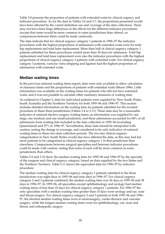Table 3.8 presents the proportion of patients with extended waits by clinical urgency and indicator procedure. As for the data in Tables 3.6 and 3.7, the proportions presented would have been affected by the varied definition use and coverage of the data collections. There may not have been large differences in the effects for the different indicator procedures (except that some would be more common in some jurisdictions than others), so comparisons between them could be made cautiously.

The data indicate that for clinical urgency category 1 patients in 1996–97 the indicator procedures with the highest proportions of admissions with extended waits were for total hip replacement and total knee replacement. More than half of clinical urgency category 1 patients admitted for these procedures waited more than 30 days for admission. Total hip replacement and total knee replacement were also the indicator procedures with the highest proportions of clinical urgency category 2 patients with extended waits. For clinical urgency category 3 patients, varicose veins stripping and ligation had the highest proportion of admissions with extended waits.

### **Median waiting times**

In the previous national waiting times report, data were only available to allow calculation of clearance times and the proportions of patients with extended waits (Moon 1996). Little information was available on the waiting times for patients who did not have extended waits, and it was not possible to calculate other summary measures of waiting time.

As outlined in Chapter 2, data for individual patients were supplied by New South Wales, South Australia and the Northern Territory for both 1995–96 and 1996–97. This section includes detailed information on the waiting time for patients admitted for the awaited procedure in these three jurisdictions (Tables 3.4 to 3.11). These data may be a reasonable indicator of national elective surgery waiting times, as information was supplied by one large, one medium and one small jurisdiction, and these admissions accounted for 68% of all admissions from waiting lists included in the data collection in 1995–96 (excluding Queensland) and 57% in 1996–97. Nevertheless, these data should be interpreted with caution, noting the change in coverage, and considered to be only indicative of national waiting times in these two data collection periods. The two-tier clinical urgency categorisation in New South Wales would also have affected the data, as this may had led more patients to be categorised as clinical urgency category 1 in that jurisdiction than elsewhere. Comparisons between surgical specialties and between indicator procedures could be made with caution, noting that some of each will be more common in some jurisdictions than others.

Tables 3.9 and 3.10 show the median waiting time for 1995–96 and 1996–97 by the specialty of the surgeon and clinical urgency category, based on data supplied by the two States and the Northern Territory. Table 3.11 shows the equivalent data for 1996–97 by indicator procedure.

The median waiting time for clinical urgency category 1 patients admitted in the three jurisdictions was eight days in 1995–96 and nine days in 1996–97. For clinical urgency category 2 and 3 patients combined, the median waiting time was 36 days in 1995–96 and 38 days in 1996–97. In 1995–96, all specialties except ophthalmology and urology had median waiting times of less than 10 days for clinical urgency category 1 patients. For 1996–97 the only specialties with a median waiting time greater than 10 days were urology and ear, nose and throat surgery. For clinical urgency category 2 and 3 patients in both 1995–96 and 1996– 97, the shortest median waiting times were in neurosurgery, cardio-thoracic and vascular surgery, while the longest median waiting times were for ophthalmology, ear, nose and throat, and orthopaedic surgery.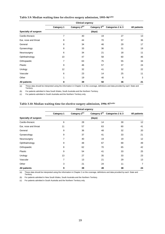|                      | Category 1     | Category 2 <sup>(c)</sup> | Category 3 <sup>(c)</sup> | Categories 2 & 3 | All patients |
|----------------------|----------------|---------------------------|---------------------------|------------------|--------------|
| Specialty of surgeon |                |                           | (days)                    |                  |              |
| Cardio-thoracic      | $\overline{7}$ | 40                        | 19                        | 27               | 13           |
| Ear, nose and throat | 8              | 44                        | 70                        | 57               | 36           |
| General              | 8              | 34                        | 46                        | 29               | 17           |
| Gynaecology          | 8              | 33                        | 36                        | 31               | 19           |
| Neurosurgery         | 6              | 34                        | 21                        | 18               | 11           |
| Ophthalmology        | 10             | 47                        | 58                        | 60               | 46           |
| Orthopaedic          | $\overline{7}$ | 63                        | 75                        | 55               | 34           |
| Plastic              | 9              | 46                        | 57                        | 37               | 24           |
| Urology              | 12             | 32                        | 41                        | 32               | 22           |
| Vascular             | 6              | 23                        | 14                        | 25               | 11           |
| Other                | 1              | 19                        | 40                        | 8                | 3            |
| All patients         | 8              | 39                        | 50                        | 36               | 21           |

#### **Table 3.9: Median waiting time for elective surgery admission, 1995–96(a)(b)**

(a) These data should be interpreted using the information in Chapter 2 on the coverage, definitions and data provided by each State and Territory.

(b) For patients admitted in New South Wales, South Australia and the Northern Territory.

(c) For patients admitted in South Australia and the Northern Territory only.

#### **Table 3.10: Median waiting time for elective surgery admission, 1996–97(a)(b)**

|                             | Category 1     | Category 2 <sup>(c)</sup> | Category 3 <sup>(c)</sup> | Categories 2 & 3 | All patients   |
|-----------------------------|----------------|---------------------------|---------------------------|------------------|----------------|
| <b>Specialty of surgeon</b> |                |                           | (days)                    |                  |                |
| Cardio-thoracic             | 6              | 28                        | 14                        | 30               | 12             |
| Ear, nose and throat        | 11             | 57                        | 63                        | 60               | 41             |
| General                     | 9              | 36                        | 48                        | 32               | 20             |
| Gynaecology                 | 9              | 37                        | 41                        | 33               | 21             |
| Neurosurgery                | $\overline{7}$ | 40                        | 19                        | 19               | 12             |
| Ophthalmology               | 9              | 48                        | 67                        | 69               | 49             |
| Orthopaedic                 | 8              | 62                        | 70                        | 65               | 42             |
| Plastic                     | 9              | 54                        | 41                        | 33               | 25             |
| Urology                     | 13             | 27                        | 35                        | 33               | 23             |
| Vascular                    | 7              | 13                        | 21                        | 29               | 13             |
| Other                       | 3              | 21                        | 24                        | 11               | $\overline{7}$ |
| All patients                | 9              | 39                        | 49                        | 38               | 24             |

(a) These data should be interpreted using the information in Chapter 2 on the coverage, definitions and data provided by each State and Territory.

(b) For patients admitted in New South Wales, South Australia and the Northern Territory.

(c) For patients admitted in South Australia and the Northern Territory only.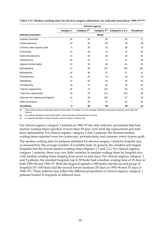|                                      | <b>Clinical urgency</b> |                           |                           |                  |              |  |
|--------------------------------------|-------------------------|---------------------------|---------------------------|------------------|--------------|--|
|                                      | Category 1              | Category 2 <sup>(c)</sup> | Category 3 <sup>(c)</sup> | Categories 2 & 3 | All patients |  |
| Indicator procedure                  |                         |                           | (days)                    |                  |              |  |
| Cataract extraction                  | 16                      | 55                        | 83                        | 83               | 71           |  |
| Cholecystectomy                      | 20                      | 40                        | 65                        | 49               | 36           |  |
| Coronary artery bypass graft         | 6                       | 30                        | 13                        | 35               | 14           |  |
| Cystoscopy                           | 14                      | 28                        | 41                        | 32               | 24           |  |
| Haemorrhoidectomy                    | 13                      | 60                        | 84                        | 39               | 34           |  |
| Hysterectomy                         | 16                      | 52                        | 77                        | 47               | 36           |  |
| Inguinal herniorrhaphy               | 14                      | 34                        | 46                        | 44               | 33           |  |
| Myringoplasty                        | 14                      | 80                        | 175                       | 102              | 105          |  |
| Myringotomy                          | 14                      | 48                        | 57                        | 57               | 41           |  |
| Prostatectomy                        | 14                      | 28                        | 43                        | 34               | 25           |  |
| Septoplasty                          | 12                      | 55                        | 46                        | 93               | 42           |  |
| Tonsillectomy                        | 18                      | 73                        | 90                        | 78               | 62           |  |
| Total hip replacement                | 36                      | 70                        | 116                       | 90               | 78           |  |
| Total knee replacement               | 40                      | 79                        | 111                       | 100              | 88           |  |
| Varicose vein stripping and ligation | 14                      | 59                        | 163                       | 57               | 54           |  |
| Other procedures                     | 7                       | 36                        | 41                        | 32               | 18           |  |
| <b>All patients</b>                  | 9                       | 39                        | 49                        | 38               | 24           |  |

#### **Table 3.11: Median waiting time for elective surgery admission, by indicator procedure, 1996–97(a)(b)**

(a) These data should be interpreted using the information in Chapter 2 on the coverage, definitions and data provided by each State and Territory.

(b) For patients admitted in New South Wales, South Australia and the Northern Territory.

(c) For patients admitted in South Australia and the Northern Territory only.

For clinical urgency category 1 patients in 1996–97 the only indicator procedures that had median waiting times reported of more than 30 days were total hip replacement and total knee replacement. For clinical urgency category 2 and 3 patients, the shortest median waiting times reported were for cystoscopy, prostatectomy and coronary artery bypass graft.

The median waiting time for patients admitted for elective surgery varied by hospital size, as measured by the average number of available beds. In general, the smallest and largest hospitals had the lowest median waiting times (Figures 3.1 and 3.2.). For clinical urgency category 1 patients, there was very little variation in median waiting times by hospital size, with median waiting times ranging from seven to nine days. For clinical urgency category 2 and 3 patients, the smallest hospitals (up to 50 beds) had a median waiting time of 18 days in both 1995–96 and 1996–97. Both the largest hospitals (>500 beds) and the second group of hospitals (51–100 beds) had the second lowest medians (30 days in 1995–96 and 33 days in 1996–97). These patterns may reflect the different proportions of clinical urgency category 1 patients treated in hospitals of different sizes.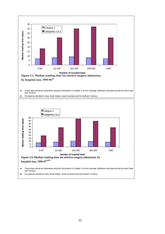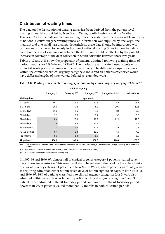### **Distribution of waiting times**

The data on the distribution of waiting times has been derived from the patient-level waiting times data provided by New South Wales, South Australia and the Northern Territory. As for the data on median waiting times, these data may be a reasonable indicator of national elective surgery waiting times, as information was supplied by one large, one medium and one small jurisdiction. Nevertheless, these data should be interpreted with caution and considered to be only indicative of national waiting times in these two data collection periods. Comparisons between the two years would be affected by the possible increase in coverage of the data collection in South Australia between those two years.

Tables 3.12 and 3.13 show the proportion of patients admitted following waiting times of various lengths for 1995–96 and 1996–97. The shaded areas indicate those patients with extended waits prior to admission for elective surgery. The different groups of patients within the combined clinical urgency category 2 and 3 and all patients categories would have different lengths of time waited defined as 'extended waits'.

| <b>Clinical urgency</b> |                   |                           |                           |                  |              |  |
|-------------------------|-------------------|---------------------------|---------------------------|------------------|--------------|--|
|                         | <b>Category 1</b> | Category 2 <sup>(c)</sup> | Category 3 <sup>(c)</sup> | Categories 2 & 3 | All patients |  |
| <b>Waiting time</b>     |                   |                           | (per cent)                |                  |              |  |
| $1 - 7$ days            | 49.7              | 11.6                      | 11.5                      | 15.9             | 28.1         |  |
| $8-14$ days             | 18.0              | 9.3                       | 8.2                       | 10.3             | 13.1         |  |
| $15 - 21$ days          | 11.3              | 8.6                       | 7.1                       | 8.6              | 9.6          |  |
| 22-30 days              | 9.1               | 10.8                      | 9.7                       | 9.9              | 9.6          |  |
| $31 - 60$ days          | 8.4               | 28.6                      | 18.9                      | 22.3             | 17.3         |  |
| $61 - 90$ days          | 1.8               | 14.6                      | 10.8                      | 11.2             | 7.8          |  |
| $>3-6$ months           | 1.3               | 11.5                      | 17.4                      | 13.5             | 9.1          |  |
| $>6-12$ months          | 0.4               | 3.8                       | 11.0                      | 6.3              | 4.2          |  |
| >12 months              | 0.1               | 1.2                       | 5.5                       | 1.9              | 1.3          |  |
| <b>All patients</b>     | 100.0             | 100.0                     | 100.0                     | 100.0            | 100.0        |  |

**Table 3.12: Waiting times for elective surgery admission by clinical urgency category, 1995–96(a)(b)**

(a) These data should be interpreted using the information in Chapter 2 on the coverage, definitions and data provided by each State and Territory.

(b) For patients admitted in New South Wales, South Australia and the Northern Territory.

(c) For South Australia and the Northern Territory only.

In 1995–96 and 1996–97, almost half of clinical urgency category 1 patients waited seven days or less for admission. This result is likely to have been influenced by the extra division of clinical urgency category 1 patients in New South Wales, where patients were categorised as requiring admission either within seven days or within eight to 30 days. In both 1995–96 and 1996–97, 16% of patients classified into clinical urgency categories 2 or 3 were also admitted within seven days. A large proportion of clinical urgency categories 2 and 3 patients were admitted in the 31 to 60 day period compared with the 61 to 90 day period. Fewer than 2% of patients waited more than 12 months in both collection periods.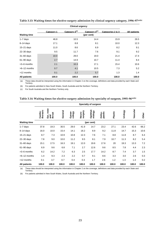| <b>Waiting time</b> | <b>Category 1</b> | Category 2 <sup>(c)</sup> | Category 3 <sup>(c)</sup><br>(per cent) | Categories 2 & 3 | All patients |  |
|---------------------|-------------------|---------------------------|-----------------------------------------|------------------|--------------|--|
| $1 - 7$ days        | 46.8              | 10.5                      | 14.4                                    | 15.9             | 26.5         |  |
| $8-14$ days         | 17.1              | 8.8                       | 8.1                                     | 10.0             | 12.3         |  |
| $15-21$ days        | 11.0              | 8.6                       | 6.9                                     | 8.2              | 9.1          |  |
| 22-30 days          | 9.5               | 11.7                      | 7.6                                     | 9.1              | 9.2          |  |
| $31 - 60$ days      | 10.0              | 29.0                      | 19.0                                    | 21.4             | 17.4         |  |
| $61 - 90$ days      | 2.7               | 14.9                      | 10.7                                    | 11.4             | 8.4          |  |
| $>3-6$ months       | 2.1               | 10.3                      | 17.1                                    | 15.4             | 10.6         |  |
| $>6-12$ months      | 0.7               | 4.1                       | 10.5                                    | 7.3              | 5.2          |  |
| >12 months          | 0.1               | 2.2                       | 5.7                                     | 1.3              | 1.4          |  |
| <b>All patients</b> | 100.0             | 100.0                     | 100.0                                   | 100.0            | 100.0        |  |

**Table 3.13: Waiting times for elective surgery admission by clinical urgency category, 1996–97(a)(b)**

(a) These data should be interpreted using the information in Chapter 2 on the coverage, definitions and data provided by each State and Territory.

(b) For patients admitted in New South Wales, South Australia and the Northern Territory.

(c) For South Australia and the Northern Territory only.

#### **Table 3.14: Waiting times for elective surgery admission by specialty of surgeon, 1995–96(a)(b)**

|                     | Specialty of surgeon |                               |         |                  |                   |                    |                  |         |         |          |       |
|---------------------|----------------------|-------------------------------|---------|------------------|-------------------|--------------------|------------------|---------|---------|----------|-------|
|                     | thoracic<br>Cardio-  | nose<br>throat<br>Ear,<br>and | General | Gynae-<br>cology | surgery<br>Neuro- | Ophthal-<br>mology | paedic<br>Ortho- | Plastic | Urology | Vascular | Other |
| <b>Waiting time</b> | (per cent)           |                               |         |                  |                   |                    |                  |         |         |          |       |
| $1 - 7$ days        | 37.8                 | 19.3                          | 30.5    | 29.0             | 41.9              | 14.7               | 23.2             | 27.1    | 23.4    | 42.6     | 66.2  |
| $8-14$ days         | 16.0                 | 10.0                          | 15.4    | 14.1             | 18.2              | 8.9                | 9.2              | 11.8    | 14.7    | 15.3     | 10.6  |
| $15 - 21$ days      | 8.7                  | 7.3                           | 10.9    | 10.8             | 12.3              | 7.6                | 7.1              | 8.8     | 11.8    | 8.7      | 6.4   |
| 22-30 days          | 7.8                  | 9.0                           | 10.0    | 11.2             | 9.5               | 8.1                | 7.9              | 10.7    | 11.3    | 8.2      | 5.4   |
| $31 - 60$ days      | 15.1                 | 17.5                          | 16.3    | 19.1             | 12.0              | 19.6               | 17.6             | 20      | 19.3    | 13.3     | 7.2   |
| $61 - 90$ days      | 6.9                  | 9.6                           | 6.8     | 7.1              | 2.7               | 12.6               | 9.6              | 8.5     | 7.8     | 4.4      | 2.3   |
| >3-6 months         | 6.2                  | 14.2                          | 7.2     | 6.3              | 2.5               | 17.7               | 14.2             | 8.7     | 7.4     | 3.7      | 1.5   |
| >6-12 months        | 1.4                  | 9.3                           | 2.3     | 2.2              | 0.7               | 9.1                | 8.6              | 3.3     | 3.0     | 2.6      | 0.3   |
| >12 months          | 0.1                  | 3.7                           | 0.7     | 0.4              | 0.3               | 1.7                | 2.6              | 1.2     | 1.3     | 1.4      | 0.2   |
| <b>All patients</b> | 100.0                | 100.0                         | 100.0   | 100.0            | 100.0             | 100.0              | 100.0            | 100.0   | 100.0   | 100.0    | 100.0 |

(a) These data should be interpreted using the information in Chapter 2 on the coverage, definitions and data provided by each State and Territory.

(b) For patients admitted in New South Wales, South Australia and the Northern Territory.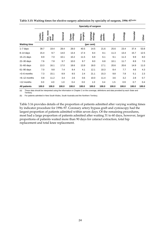|                     | Specialty of surgeon |                               |         |                  |                   |                    |                  |         |         |          |       |
|---------------------|----------------------|-------------------------------|---------|------------------|-------------------|--------------------|------------------|---------|---------|----------|-------|
|                     | thoracic<br>Cardio-  | nose<br>throat<br>Ear,<br>and | General | Gynae-<br>cology | surgery<br>Neuro- | Ophthal-<br>mology | paedic<br>Ortho- | Plastic | Urology | Vascular | Other |
| <b>Waiting time</b> |                      |                               |         |                  |                   | (per cent)         |                  |         |         |          |       |
| $1 - 7$ days        | 39.7                 | 19.4                          | 28.4    | 28.0             | 40.5              | 14.5               | 21.6             | 25.6    | 23.4    | 37.4     | 53.8  |
| $8-14$ days         | 15.4                 | 9.7                           | 14.0    | 13.4             | 17.4              | 8.4                | 8.1              | 11.3    | 13.4    | 15.7     | 12.5  |
| $15 - 21$ days      | 8.9                  | 7.0                           | 10.1    | 10.2             | 11.5              | 6.9                | 6.1              | 9.1     | 11.3    | 9.9      | 8.0   |
| 22-30 days          | 7.6                  | 7.8                           | 9.7     | 10.0             | 9.7               | 8.0                | 6.8              | 10.1    | 11.7    | 8.9      | 7.0   |
| $31 - 60$ days      | 13.3                 | 16.1                          | 17.0    | 18.6             | 13.9              | 18.0               | 17.1             | 20.6    | 20.6    | 14.9     | 11.0  |
| $61 - 90$ days      | 7.0                  | 9.8                           | 7.4     | 8.4              | 4.1               | 12.1               | 10.3             | 8.4     | 7.7     | 4.6      | 4.3   |
| >3-6 months         | 7.3                  | 15.1                          | 8.9     | 8.5              | 2.4               | 21.1               | 15.3             | 9.8     | 7.8     | 5.1      | 2.3   |
| >6-12 months        | 0.8                  | 11.2                          | 3.4     | 2.6              | 0.6               | 10.0               | 11.4             | 3.6     | 3.2     | 2.8      | 0.7   |
| >12 months          | 0.0                  | 4.0                           | 1.0     | 0.4              | 0.0               | 1.0                | 3.4              | 1.5     | 0.9     | 0.7      | 0.4   |
| <b>All patients</b> | 100.0                | 100.0                         | 100.0   | 100.0            | 100.0             | 100.0              | 100.0            | 100.0   | 100.0   | 100.0    | 100.0 |

**Table 3.15: Waiting times for elective surgery admission by specialty of surgeon, 1996–97(a)(b)**

(a) These data should be interpreted using the information in Chapter 2 on the coverage, definitions and data provided by each State and Territory.

(b) For patients admitted in New South Wales, South Australia and the Northern Territory.

Table 3.16 provides details of the proportion of patients admitted after varying waiting times by indicator procedure for 1996–97. Coronary artery bypass graft and cystoscopy had the largest proportion of patients admitted within seven days. Of the remaining procedures, most had a large proportion of patients admitted after waiting 31 to 60 days, however, larger proportions of patients waited more than 90 days for cataract extraction, total hip replacement and total knee replacement.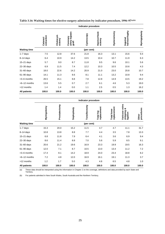|                     |                        |                      |                                    | Indicator procedure |                          |                           |                                           |                     |
|---------------------|------------------------|----------------------|------------------------------------|---------------------|--------------------------|---------------------------|-------------------------------------------|---------------------|
|                     | extraction<br>Cataract | Cholecyst-<br>ectomy | artery bypass<br>Coronary<br>graft | Cystoscopy          | Haemorrhoid-<br>ectomy   | Hysterectomy              | herniorrhaphy<br>Inguinal                 | Myringoplasty       |
| <b>Waiting time</b> |                        |                      |                                    | (per cent)          |                          |                           |                                           |                     |
| $1 - 7$ days        | 7.5                    | 12.8                 | 37.6                               | 21.8                | 16.3                     | 13.1                      | 15.6                                      | 9.4                 |
| $8-14$ days         | 6.4                    | 10.9                 | 14.2                               | 13.5                | 10.4                     | 10.7                      | 11.9                                      | 6.3                 |
| 15-21 days          | 5.7                    | 9.0                  | 8.7                                | 11.8                | 9.5                      | 9.6                       | 10.1                                      | 5.6                 |
| 22-30 days          | 6.9                    | 11.5                 | 7.4                                | 12.2                | 10.3                     | 10.5                      | 10.6                                      | 4.3                 |
| $31 - 60$ days      | 18.0                   | 22.6                 | 14.2                               | 20.9                | 21.0                     | 23.0                      | 20.8                                      | 10.7                |
| $61 - 90$ days      | 14.1                   | 11.3                 | 8.6                                | 8.1                 | 11.1                     | 13.2                      | 10.8                                      | 9.4                 |
| >3-6 months         | 26.5                   | 15.1                 | 8.8                                | 7.8                 | 12.8                     | 14.9                      | 13.5                                      | 19.2                |
| >6-12 months        | 13.6                   | 5.5                  | 0.7                                | 2.7                 | 6.1                      | 4.6                       | 5.3                                       | 19.0                |
| >12 months          | 1.4                    | 1.4                  | 0.0                                | 1.1                 | 2.5                      | 0.5                       | 1.3                                       | 16.2                |
| <b>All patients</b> | 100.0                  | 100.0                | 100.0                              | 100.0               | 100.0                    | 100.0                     | 100.0                                     | 100.0               |
|                     |                        |                      |                                    |                     |                          |                           |                                           |                     |
|                     |                        |                      |                                    | Indicator procedure |                          |                           |                                           |                     |
|                     | Myringotomy            | Prostatectomy        | Septoplasty                        | Tonsillectomy       | Total hip<br>replacement | replacement<br>Total knee | Varicose veins<br>stripping &<br>ligation | procedures<br>Other |
| <b>Waiting time</b> |                        |                      |                                    | (per cent)          |                          |                           |                                           |                     |
| $1 - 7$ days        | 15.3                   | 20.0                 | 15.2                               | 11.5                | 4.7                      | 4.7                       | 11.1                                      | 31.7                |
| $8-14$ days         | 10.8                   | 13.8                 | 8.8                                | 7.7                 | 4.4                      | 3.5                       | 7.8                                       | 13.3                |
| $15 - 21$ days      | 6.8                    | 11.8                 | 7.9                                | 6.4                 | 4.1                      | 3.6                       | 6.9                                       | 9.4                 |
| 22-30 days          | 8.6                    | 11.4                 | 8.8                                | 7.0                 | 5.6                      | 5.9                       | 8.5                                       | 9.1                 |
| 31-60 days          | 20.6                   | 21.2                 | 19.6                               | 16.9                | 23.3                     | 19.9                      | 19.5                                      | 16.3                |
| 61-90 days          | 12.0                   | 7.1                  | 8.7                                | 10.5                | 13.0                     | 13.4                      | 11.2                                      | 7.2                 |
| >3-6 months         | 17.4                   | 8.1                  | 14.2                               | 18.9                | 24.0                     | 23.4                      | 18.8                                      | 8.2                 |
| >6-12 months        | 7.2                    | 4.8                  | 12.0                               | 16.9                | 16.1                     | 19.1                      | 11.3                                      | 3.7                 |
| >12 months          | 1.2                    | 1.7                  | 5.0                                | 4.3                 | 4.8                      | 6.5                       | 4.8                                       | 1.0                 |
| <b>All patients</b> | 100.0                  | 100.0                | 100.0                              | 100.0               | 100.0                    | 100.0                     | 100.0                                     | 100.0               |

Table 3.16: Waiting times for elective surgery admission by indicator procedure, 1996–97<sup>(a)(b)</sup>

(a) These data should be interpreted using the information in Chapter 2 on the coverage, definitions and data provided by each State and Territory.

(b) For patients admitted in New South Wales, South Australia and the Northern Territory.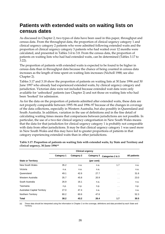## **Patients with extended waits on waiting lists on census dates**

As discussed in Chapter 2, two types of data have been used in this paper, throughput and census data. From the throughput data, the proportion of clinical urgency category 1 and clinical urgency category 2 patients who were admitted following extended waits and the proportion of clinical urgency category 3 patients who had waited over 12 months were calculated, and presented in Tables 3.4 to 3.8. From the census data, the proportion of patients on waiting lists who had had extended waits, can be determined (Tables 3.17 to 3.22).

The proportion of patients with extended waits is expected to be found to be higher in census data than in throughput data because the chance of being counted in census data increases as the length of time spent on waiting lists increases (Nicholl 1988; see also Chapter 2).

Tables 3.17 and 3.18 show the proportion of patients on waiting lists at 30 June 1996 and 30 June 1997 who already had experienced extended waits, by clinical urgency category and jurisdiction. Victorian data were not included because extended wait data were only available for 'unbooked' patients (see Chapter 2) and not those on waiting lists who had been 'booked' for admission.

As for the data on the proportion of patients admitted after extended waits, these data are not properly comparable between 1995–96 and 1996–97 because of the changes in coverage of the data collections, especially in Western Australia, but also possibly in Queensland and South Australia. In addition, variation in the use of definitions and in the fine detail of calculating waiting times means that comparisons between jurisdictions are not possible. In particular, the use of a two-tier clinical urgency categorisation in New South Wales means that the data for that jurisdiction for clinical urgency category 1 is probably not comparable with data from other jurisdictions. It may be that clinical urgency category 1 was used more in New South Wales and this may have led to greater proportions of patients in that category experiencing extended waits than in other jurisdictions.

|                                     |            |                   | <b>Clinical urgency</b> |                      |              |
|-------------------------------------|------------|-------------------|-------------------------|----------------------|--------------|
|                                     | Category 1 | <b>Category 2</b> | Category 3              | Categories 2 & 3     | All patients |
| <b>State or Territory</b>           |            |                   | (per cent)              |                      |              |
| New South Wales                     | 35.2       | n.a.              | n.a.                    | 1.7                  | n.a.         |
| Victoria                            | n.a.       | n.a.              | n.a.                    | $\sim$ $\sim$        | n.a.         |
| Queensland                          | 49.1       | 42.6              | 27.7                    | $\ddot{\phantom{a}}$ | 31.6         |
| Western Australia                   | 35.7       | 45.8              | 20.9                    | $\sim$ $\sim$        | 23.0         |
| South Australia                     | 26.9       | 16.1              | n.a.                    | $\sim$ $\sim$        | n.a.         |
| Tasmania                            | n.p.       | n.p.              | n.p.                    | $\sim$ $\sim$        | n.p.         |
| <b>Australian Capital Territory</b> | 27.0       | 47.4              | n.a.                    | $\sim$ $\sim$        | n.a.         |
| Northern Territory                  | 80.2       | 60.6              | 47.6                    | $\sim$ $\sim$        | 52.3         |
| Total                               | 38.2       | 43.2              | 26.4                    | 1.7                  | 30.5         |

**Table 3.17: Proportion of patients on waiting lists with extended waits, by State and Territory and clinical urgency, 30 June 1996(a)**

(a) These data should be interpreted using the information in Chapter 2 on the coverage, definitions and data provided by each State and Territory.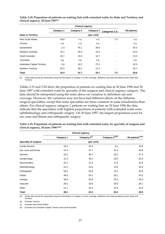|                                     |            | <b>Clinical urgency</b> |            |                      |              |
|-------------------------------------|------------|-------------------------|------------|----------------------|--------------|
|                                     | Category 1 | <b>Category 2</b>       | Category 3 | Categories 2 &       | All patients |
| <b>State or Territory</b>           |            |                         | (per cent) |                      |              |
| New South Wales                     | 38.6       | n.a.                    | n.a.       | 7.5                  | n.a.         |
| Victoria                            | n.a.       | n.a.                    | n.a.       | $\sim$ $\sim$        | n.a.         |
| Queensland                          | 2.3        | 44.1                    | 30.8       | $\ddotsc$            | 34.3         |
| Western Australia                   | 18.1       | 26.0                    | 22.9       | $\cdot$ .            | 23.0         |
| South Australia                     | 26.7       | 19.6                    | 10.7       | $\ddotsc$            | 13.0         |
| Tasmania                            | n.p.       | n.p.                    | n.p.       | $\ddotsc$            | n.p.         |
| <b>Australian Capital Territory</b> | 4.8        | 42.5                    | 27.5       | $\ddot{\phantom{a}}$ | 32.5         |
| Northern Territory                  | 50.0       | 39.4                    | 17.4       | $\sim$ $\sim$        | 26.7         |
| Total                               | 33.4       | 41.7                    | 25.1       | 7.5                  | 29.0         |

**Table 3.18: Proportion of patients on waiting lists with extended waits, by State and Territory and clinical urgency, 30 June 1997(a)**

(a) These data should be interpreted using the information in Chapter 2 on the coverage, definitions and data provided by each State and Territory.

Tables 3.19 and 3.20 show the proportion of patients on waiting lists at 30 June 1996 and 30 June 1997 with extended waits by specialty of the surgeon and clinical urgency category. The data should be interpreted using the notes above on variation in definition use and coverage. However, the variations may not have had different effects on the different surgical specialties, except that some specialties are more common in some jurisdictions than others. For clinical urgency category 1 patients on waiting lists on 30 June 1996 the data indicate that the specialties with highest proportions of patients with extended waits were ophthalmology and orthopaedic surgery. On 30 June 1997, the largest proportions were for ear, nose and throat and orthopaedic surgery.

|                             | <b>Clinical urgency</b> |                           |                  |                                |
|-----------------------------|-------------------------|---------------------------|------------------|--------------------------------|
|                             | <b>Category 1</b>       | Category 2 <sup>(c)</sup> | Category 3(c)(d) | All patients <sup>(c)(d)</sup> |
| <b>Specialty of surgeon</b> |                         | (per cent)                |                  |                                |
| Cardio-thoracic             | 19.3                    | 34.0                      | 8.1              | 19.8                           |
| Ear, nose and throat        | 47.4                    | 47.7                      | 41.8             | 43.8                           |
| General                     | 32.5                    | 36.1                      | 23.2             | 27.4                           |
| Gynaecology                 | 31.3                    | 30.3                      | 16.5             | 20.4                           |
| Neurosurgery                | 31.2                    | 31.5                      | 17.6             | 23.5                           |
| Ophthalmology               | 51.5                    | 24.8                      | 13.9             | 16.9                           |
| Orthopaedic                 | 50.6                    | 50.8                      | 24.2             | 29.9                           |
| Plastic                     | 49.4                    | 54.1                      | 39.1             | 43.2                           |
| Urology                     | 36.6                    | 50.6                      | 29.3             | 34.9                           |
| Vascular                    | 28.2                    | 33.8                      | 26.9             | 28.7                           |
| Other                       | 21.1                    | 23.4                      | 13.5             | 15.6                           |
| Total                       | 38.2                    | 43.2                      | 26.4             | 30.5                           |

**Table 3.19: Proportion of patients on waiting lists with extended waits, by specialty of surgeon and clinical urgency, 30 June 1996(a)(b)**

(a) These data should be interpreted using the information in Chapter 2 on the coverage, definitions and data provided by each State and Territory.

(b) Excludes Victoria.

(c) Excludes New South Wales.

(d) Excludes the Australian Capital Territory and South Australia.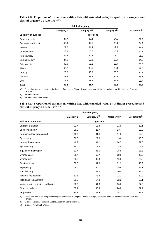|                      | <b>Clinical urgency</b> |                           |               |                             |  |
|----------------------|-------------------------|---------------------------|---------------|-----------------------------|--|
|                      | <b>Category 1</b>       | Category 2 <sup>(c)</sup> | Category 3(c) | All patients <sup>(c)</sup> |  |
| Specialty of surgeon |                         | (per cent)                |               |                             |  |
| Cardio-thoracic      | 37.7                    | 32.4                      | 14.0          | 22.9                        |  |
| Ear, nose and throat | 43.9                    | 47.1                      | 33.1          | 34.9                        |  |
| General              | 27.0                    | 34.4                      | 19.9          | 23.3                        |  |
| Gynaecology          | 28.8                    | 16.6                      | 10.7          | 12.7                        |  |
| Neurosurgery         | 29.3                    | 40.8                      | 8.0           | 21.9                        |  |
| Ophthalmology        | 24.6                    | 19.3                      | 13.4          | 14.2                        |  |
| Orthopaedic          | 48.0                    | 55.2                      | 25.7          | 35.5                        |  |
| Plastic              | 42.7                    | 38.5                      | 38.1          | 37.6                        |  |
| Urology              | 28.8                    | 43.9                      | 26.6          | 30.3                        |  |
| Vascular             | 22.9                    | 33.8                      | 35.2          | 33.7                        |  |
| Other                | 18.5                    | 27.2                      | 25.7          | 25.4                        |  |
| <b>Total</b>         | 33.4                    | 41.7                      | 25.1          | 29.0                        |  |

**Table 3.20: Proportion of patients on waiting lists with extended waits, by specialty of surgeon and clinical urgency, 30 June 1997(a)(b)**

(a) These data should be interpreted using the information in Chapter 2 on the coverage, definitions and data provided by each State and Territory.

(b) Excludes Victoria.

(c) Excludes New South Wales.

**Table 3.21: Proportion of patients on waiting lists with extended waits, by indicator procedure and clinical urgency, 30 June 1997(a)(b)**

|                                       | <b>Clinical urgency</b> |                           |               |                             |  |  |  |
|---------------------------------------|-------------------------|---------------------------|---------------|-----------------------------|--|--|--|
|                                       | Category 1              | Category 2 <sup>(c)</sup> | Category 3(c) | All patients <sup>(c)</sup> |  |  |  |
| Indicator procedure                   |                         | (per cent)                |               |                             |  |  |  |
| Cataract extraction                   | 32.4                    | 16.8                      | 11.5          | 12.1                        |  |  |  |
| Cholecystectomy                       | 39.0                    | 26.7                      | 23.4          | 23.8                        |  |  |  |
| Coronary artery bypass graft          | 43.8                    | 31.0                      | 11.3          | 24.0                        |  |  |  |
| Cystoscopy                            | 30.5                    | 29.0                      | 13.6          | 16.6                        |  |  |  |
| Haemorrhoidectomy                     | 46.7                    | 41.1                      | 24.5          | 27.6                        |  |  |  |
| Hysterectomy                          | 34.0                    | 12.9                      | 8.4           | 9.8                         |  |  |  |
| Inguinal herniorrhaphy                | 31.4                    | 35.5                      | 18.5          | 21.8                        |  |  |  |
| Myringoplasty                         | 36.4                    | 60.7                      | 38.8          | 40.7                        |  |  |  |
| Myringotomy                           | 52.8                    | 33.3                      | 16.9          | 22.6                        |  |  |  |
| Prostatectomy                         | 38.8                    | 64.0                      | 31.9          | 40.2                        |  |  |  |
| Septoplasty                           | 48.5                    | 60.7                      | 39.6          | 41.1                        |  |  |  |
| Tonsillectomy                         | 47.4                    | 38.2                      | 30.5          | 31.5                        |  |  |  |
| Total hip replacement                 | 63.6                    | 52.3                      | 22.1          | 32.0                        |  |  |  |
| Total knee replacement                | 68.9                    | 57.8                      | 32.2          | 39.1                        |  |  |  |
| Varicose veins stripping and ligation | 20.9                    | 44.8                      | 36.6          | 37.2                        |  |  |  |
| Other procedures                      | 30.7                    | 39.9                      | 24.0          | 27.7                        |  |  |  |
| <b>All patients</b>                   | 33.5                    | 39.4                      | 24.2          | 27.5                        |  |  |  |

(a) These data should be interpreted using the information in Chapter 2 on the coverage, definitions and data provided by each State and Territory.

(b) Excludes Victoria, Tasmania and the Australian Capital Territory.

(c) Excludes New South Wales.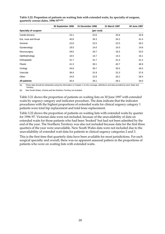|                      | 30 September 1996 | 31 December 1996 | 31 March 1997 | 30 June 1997 |
|----------------------|-------------------|------------------|---------------|--------------|
| Specialty of surgeon |                   |                  |               |              |
| Cardio-thoracic      | 23.1              | 22.6             | 25.8          | 24.9         |
| Ear, nose and throat | 40.8              | 34.3             | 34.2          | 41.4         |
| General              | 22.8              | 22.0             | 22.5          | 28.2         |
| Gynaecology          | 18.0              | 14.0             | 15.0          | 14.8         |
| Neurosurgery         | 29.6              | 26.7             | 19.3          | 23.5         |
| Ophthalmology        | 16.5              | 14.7             | 14.2          | 16.1         |
| Orthopaedic          | 31.7              | 31.7             | 31.3          | 41.2         |
| Plastic              | 41.3              | 39.1             | 40.7          | 46.9         |
| Urology              | 34.8              | 30.7             | 30.5          | 34.5         |
| Vascular             | 36.0              | 31.9             | 31.3          | 37.6         |
| Other                | 24.8              | 22.8             | 26.2          | 26.4         |
| All patients         | 30.4              | 28.1             | 28.2          | 34.0         |

**Table 3.22: Proportion of patients on waiting lists with extended waits, by specialty of surgeon, quarterly census dates, 1996–97(a)(b)**

(a) These data should be interpreted using the information in Chapter 2 on the coverage, definitions and data provided by each State and **Territory** 

(b) New South Wales, Victoria and the Northern Territory not included.

Table 3.21 shows the proportion of patients on waiting lists on 30 June 1997 with extended waits by urgency category and indicator procedure. The data indicate that the indicator procedures with the highest proportions of extended waits for clinical urgency category 1 patients were total hip replacement and total knee replacement.

Table 3.22 shows the proportion of patients on waiting lists with extended waits by quarter for 1996–97. Victorian data were not included, because of the unavailability of data on extended waits for those patients who had been 'booked' but had not been admitted by the end of the year. The Northern Territory was also not included because data for the first three quarters of the year were unavailable. New South Wales data were not included due to the unavailability of extended wait data for patients in clinical urgency categories 2 and 3.

This is the first time that quarterly data have been available for most jurisdictions. For each surgical specialty and overall, there was no apparent seasonal pattern in the proportions of patients who were on waiting lists with extended waits.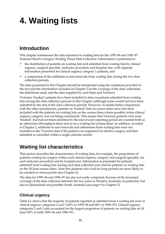# **4. Waiting lists**

## **Introduction**

This chapter summarises the data reported on waiting lists for the 1995–96 and 1996–97 National Elective Surgery Waiting Times Data Collection. Information is presented as

- the distribution of patients on waiting lists and admitted from waiting lists by clinical urgency, surgical specialty, indicator procedure and hospital size, with separate information presented for clinical urgency category 1 patients, and
- a comparison of the additions to and removals from waiting lists during the two data collection periods.

The data presented in this Chapter should be interpreted using the comments provided in the text and the information included in Chapter 2 on the coverage of the data collections, the definitions used, and the data supplied by each State and Territory.

Victorian 'booked' patients have been included in data on patients admitted from waiting lists during the data collection periods in this Chapter (although some would not have been admitted by the end of the data collection period). However, to enable better comparison with the other jurisdictions, patients on 'booked' lists on census dates have also been included with the patients on waiting lists on the census dates where possible (when clinical urgency category was not being considered). This means that Victorian patients who were 'booked', but had not been admitted by the end of each reporting period are counted both as an admission (throughput data) and as on a waiting list (census data). In addition, as noted in Chapter 2, additions to and removals and admissions from waiting lists were not included in the Victorian data if the patient was registered for elective surgery and then admitted or cancelled within a single calendar month.

## **Waiting list characteristics**

This section describes the characteristics of waiting lists, for example, the proportions of patients waiting for surgery within each clinical urgency category and surgical specialty, for each indicator procedure and by hospital size. Information is presented for patients admitted from waiting lists during each data collection year and for patients on waiting lists on the 30 June census dates. Note that patients who wait for long periods are more likely to be counted at census points (see Chapter 2).

The data for 1995–96 and 1996–97 are also not easily compared, because of the increased coverage of the data collection between the two years in Western Australia, in particular, but also in Queensland and possibly South Australia (see page 9 in Chapter 2).

### **Clinical urgency**

Table 4.1 shows that the majority of patients reported as admitted from a waiting list were in clinical urgency categories 2 and 3 (65% in 1995–96 and 68% in 1996–97). Clinical urgency categories 2 and 3 also accounted for the largest proportion of patients on waiting lists on 30 June (93% in both 1995–96 and 1996–97).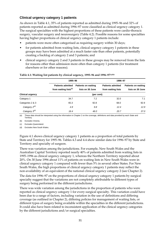#### **Clinical urgency category 1 patients**

As shown in Table 4.1, 35% of patients reported as admitted during 1995–96 and 32% of patients reported as admitted during 1996–97 were classified as clinical urgency category 1. The surgical specialties with the highest proportions of these patients were cardio-thoracic surgery, vascular surgery and neurosurgery (Table 4.2). Possible reasons for some specialties having higher proportions of clinical urgency category 1 patients include:

- patients were more often categorised as requiring surgery within 30 days;
- for patients admitted from waiting lists, clinical urgency category 1 patients in these groups may have been admitted at a much faster rate than other patients, potentially creating a backlog of category 2 and 3 patients; and
- clinical urgency category 2 and 3 patients in these groups may be removed from the lists for reasons other than admission more often than category 1 patients (for treatment elsewhere or for other reasons).

|                           | 1995-96                                                       |                                                |                                                | 1996-97                                        |  |  |  |  |
|---------------------------|---------------------------------------------------------------|------------------------------------------------|------------------------------------------------|------------------------------------------------|--|--|--|--|
|                           | <b>Patients admitted</b><br>from waiting lists <sup>(c)</sup> | <b>Patients on waiting</b><br>lists on 30 June | <b>Patients admitted</b><br>from waiting lists | <b>Patients on waiting</b><br>lists on 30 June |  |  |  |  |
| <b>Clinical urgency</b>   | (per cent)                                                    |                                                |                                                |                                                |  |  |  |  |
| Category 1                | 34.7                                                          | 7.2                                            | 32.0                                           | 7.1                                            |  |  |  |  |
| Categories 2 & 3          | 65.3                                                          | 92.8                                           | 68.0                                           | 92.9                                           |  |  |  |  |
| Category 2 <sup>(d)</sup> | 4.9                                                           | 9.8                                            | 12.4                                           | 12.9                                           |  |  |  |  |
| Category 3 <sup>(d)</sup> | 16.4                                                          | 46.0                                           | 20.7                                           | 37.0                                           |  |  |  |  |

#### **Table 4.1: Waiting list patients by clinical urgency, 1995–96 and 1996–97(a)(b)**

(a) These data should be interpreted using the information in Chapter 2 on the coverage, definitions and data provided by each State and Territory.

(b) Excludes Victoria.

(c) Excludes Queensland.

(d) Excludes New South Wales.

Figure 4.1 shows clinical urgency category 1 patients as a proportion of total patients by State and Territory for 1995–96. Tables 4.3 and 4.4 show similar data for 1996–97 by State and Territory and specialty of surgeon.

There was variation among the jurisdictions. For example, New South Wales and the Australian Capital Territory reported nearly 40% of patients admitted from waiting lists in 1995–1996 as clinical urgency category 1, whereas the Northern Territory reported about 20%. On 30 June 1996 about 11% of patients on waiting lists in New South Wales were in clinical urgency category 1 compared with fewer than 5% in several other States. For New South Wales, the high proportions of clinical urgency category 1 patients may reflect the non-availability of an equivalent of the national clinical urgency category 2 (see Chapter 2).

The data for 1996–97 on the proportions of clinical urgency category 1 patients by surgical specialty suggest that the variations are not completely attributable to different types of surgery being performed in the different jurisdictions.

There was wide variation among the jurisdictions in the proportion of patients who were reported as clinical urgency category 1 for every surgical specialty. This variation could have been due to a range of factors, including variation in the use of definitions and differing coverage (as outlined in Chapter 2), differing policies for management of waiting lists, or different types of surgery being available within the specialties in the different jurisdictions. It could also have been related to inconsistent application of the clinical urgency categories by the different jurisdictions and/or surgical specialties.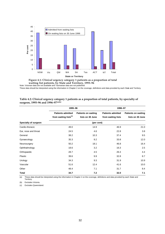

Note: Victorian data are not available and Tasmanian data are not published. **waiting list patients, by State and Territory, 1995–96 Figure 4.1: Clinical urgency category 1 patients as a proportion of total**

These data should be interpreted using the information in Chapter 2 on the coverage, definitions and data provided by each State and Territory.

|                      | 1995-96                                                       |                                                | 1996-97                                        |                                                |  |  |
|----------------------|---------------------------------------------------------------|------------------------------------------------|------------------------------------------------|------------------------------------------------|--|--|
|                      | <b>Patients admitted</b><br>from waiting lists <sup>(c)</sup> | <b>Patients on waiting</b><br>lists on 30 June | <b>Patients admitted</b><br>from waiting lists | <b>Patients on waiting</b><br>lists on 30 June |  |  |
| Specialty of surgeon |                                                               | (per cent)                                     |                                                |                                                |  |  |
| Cardio-thoracic      | 49.0                                                          | 14.9                                           | 46.9                                           | 21.0                                           |  |  |
| Ear, nose and throat | 24.5                                                          | 4.6                                            | 22.8                                           | 3.8                                            |  |  |
| General              | 38.2                                                          | 10.3                                           | 37.4                                           | 9.5                                            |  |  |
| Gynaecology          | 35.3                                                          | 9.2                                            | 33.8                                           | 12.0                                           |  |  |
| Neurosurgery         | 50.2                                                          | 18.1                                           | 46.8                                           | 16.4                                           |  |  |
| Ophthalmology        | 18.6                                                          | 3.2                                            | 16.3                                           | 2.5                                            |  |  |
| Orthopaedic          | 28.7                                                          | 4.5                                            | 26.3                                           | 4.4                                            |  |  |
| Plastic              | 39.6                                                          | 9.9                                            | 32.8                                           | 8.7                                            |  |  |
| Urology              | 34.3                                                          | 9.3                                            | 31.9                                           | 10.9                                           |  |  |
| Vascular             | 51.6                                                          | 12.4                                           | 41.6                                           | 10.0                                           |  |  |
| Other                | 48.4                                                          | 7.1                                            | 31.7                                           | 8.4                                            |  |  |
| <b>Total</b>         | 34.7                                                          | 7.2                                            | 32.0                                           | 7.1                                            |  |  |

#### **Table 4.2: Clinical urgency category 1 patients as a proportion of total patients, by specialty of surgeon, 1995–96 and 1996–97(a)(b)**

(a) These data should be interpreted using the information in Chapter 2 on the coverage, definitions and data provided by each State and Territory.

(b) Excludes Victoria.

(c) Excludes Queensland.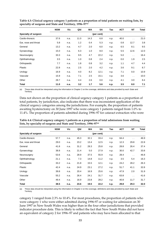|                      | <b>NSW</b> | Vic  | Qld  | WA   | <b>SA</b>  | Tas  | <b>ACT</b> | NT                   | Total |
|----------------------|------------|------|------|------|------------|------|------------|----------------------|-------|
| Specialty of surgeon |            |      |      |      | (per cent) |      |            |                      |       |
| Cardio-thoracic      | 37.6       | n.a. | 11.0 | 14.3 | 6.8        | n.p. | 40.0       | $\ddot{\phantom{a}}$ | 21.0  |
| Ear, nose and throat | 5.8        | n.a. | 1.2  | 0.4  | 5.3        | n.p. | 0.8        | 12.7                 | 3.8   |
| General              | 13.2       | n.a. | 4.7  | 2.0  | 6.0        | n.p. | 6.5        | 8.1                  | 9.5   |
| Gynaecology          | 15.0       | n.a. | 6.3  | 1.0  | 8.0        | n.p. | 5.5        | 12.6                 | 12.0  |
| Neurosurgery         | 33.3       | n.a. | 9.5  | 4.7  | 22.2       | n.p. | 5.0        | $\sim$ $\sim$        | 16.4  |
| Ophthalmology        | 3.5        | n.a. | 1.0  | 0.8  | 2.4        | n.p. | 0.0        | 1.9                  | 2.5   |
| Orthopaedic          | 7.7        | n.a. | 1.8  | 0.8  | 3.2        | n.p. | 1.1        | 4.7                  | 4.4   |
| Plastic              | 22.8       | n.a. | 2.5  | 2.0  | 4.2        | n.p. | 3.6        | 9.1                  | 8.7   |
| Urology              | 16.9       | n.a. | 4.0  | 8.2  | 12.1       | n.p. | 7.1        | 0.0                  | 10.9  |
| Vascular             | 15.9       | n.a. | 7.1  | 2.5  | 15.1       | n.p. | 3.6        | $\sim$ $\sim$        | 10.0  |
| Other                | 28.7       | n.a. | 4.4  | 2.6  | 0.0        | n.p. | 4.1        | 3.0                  | 8.4   |
| Total                | 11.0       | n.a. | 3.2  | 1.7  | 5.6        | n.p. | 3.5        | 8.0                  | 7.1   |

**Table 4.3: Clinical urgency category 1 patients as a proportion of total patients on waiting lists, by specialty of surgeon and State and Territory, 1996–97(a)**

(a) These data should be interpreted using the information in Chapter 2 on the coverage, definitions and data provided by each State and Territory.

Data not shown on the proportion of clinical urgency category 1 patients as a proportion of total patients, by jurisdiction, also indicates that there was inconsistent application of the clinical urgency categories among the jurisdictions. For example, the proportion of patients awaiting hysterectomy on 30 June 1997 who were category 1 patients ranged from 1.0% to 11.4%. The proportion of patients admitted during 1996–97 for cataract extraction who were

| Table 4.4: Clinical urgency category 1 patients as a proportion of total admissions from waiting |  |
|--------------------------------------------------------------------------------------------------|--|
| lists, by specialty of surgeon and State and Territory, 1996–97 <sup>(a)</sup>                   |  |

|                      | <b>NSW</b> | Vic  | Qld  | WA   | <b>SA</b>  | Tas  | <b>ACT</b> | NT                   | Total |
|----------------------|------------|------|------|------|------------|------|------------|----------------------|-------|
| Specialty of surgeon |            |      |      |      | (per cent) |      |            |                      |       |
| Cardio-thoracic      | 57.7       | n.a. | 45.3 | 32.1 | 33.4       | n.p. | 64.4       | $\ddot{\phantom{0}}$ | 46.9  |
| Ear, nose and throat | 29.0       | n.a. | 23.2 | 13.4 | 12.5       | n.p. | 12.3       | 29.8                 | 22.8  |
| General              | 41.8       | n.a. | 31.2 | 28.3 | 25.8       | n.p. | 28.8       | 26.4                 | 37.4  |
| Gynaecology          | 38.8       | n.a. | 21.4 | 5.0  | 27.9       | n.p. | 30.0       | 42.7                 | 33.8  |
| Neurosurgery         | 53.6       | n.a. | 28.9 | 37.5 | 55.9       | n.p. | 28.4       | $\sim$ $\sim$        | 46.8  |
| Ophthalmology        | 21.1       | n.a. | 7.3  | 14.8 | 11.2       | n.p. | 3.5        | 5.4                  | 16.3  |
| Orthopaedic          | 33.2       | n.a. | 21.8 | 15.5 | 12.1       | n.p. | 24.2       | 28.2                 | 26.3  |
| Plastic              | 42.4       | n.a. | 24.9 | 23.1 | 27.2       | n.p. | 51.7       | 41.1                 | 32.8  |
| Urology              | 39.8       | n.a. | 20.4 | 16.9 | 25.6       | n.p. | 47.9       | 2.0                  | 31.9  |
| Vascular             | 55.2       | n.a. | 26.4 | 24.1 | 31.7       | n.p. | 63.8       | $\ddotsc$            | 41.6  |
| Other                | 49.4       | n.a. | 16.9 | 23.8 | 28.2       | n.p. | 40.8       | 11.7                 | 31.7  |
| Total                | 38.5       | n.a. | 23.6 | 19.5 | 22.2       | n.p. | 29.8       | 29.3                 | 32.0  |

(a) These data should be interpreted using the information in Chapter 2 on the coverage, definitions and data provided by each State and Territory.

category 1 ranged from 2.3% to 10.4%. For most procedures, the proportion of patients who were category 1 who were either admitted during 1996-97 or waiting for admission on 30 June 1997 in New South Wales was higher than in the four other jurisdictions that provided indicator procedure data. This is likely to reflect the fact that New South Wales did not have an equivalent of category 2 for 1996–97 and patients who may have been allocated to that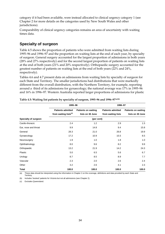category if it had been available, were instead allocated to clinical urgency category 1 (see Chapter 2 for more details on the categories used by New South Wales and other jurisdictions).

Comparability of clinical urgency categories remains an area of uncertainty with waiting times data.

### **Specialty of surgeon**

Table 4.5 shows the proportion of patients who were admitted from waiting lists during 1995–96 and 1996–97 and the proportion on waiting lists at the end of each year, by specialty of surgeon. General surgery accounted for the largest proportion of admissions in both years (28% and 27% respectively) and for the second largest proportion of patients on waiting lists at the end of both years (21% and 20% respectively). Orthopaedic surgery accounted for the greatest number of patients on waiting lists at the end of both years (22% and 24%, respectively).

Tables 4.6 and 4.7 present data on admissions from waiting lists by specialty of surgeon for each State and Territory. The smaller jurisdictions had distributions that were markedly different from the overall distribution, with the Northern Territory, for example, reporting around a third of its admissions for gynaecology; the national average was 17% in 1995–96 and 16% in 1996–97. Western Australia reported larger proportions of admissions for plastic

|                      | 1995-96                                                       |                                                | 1996-97                                        |                                                |  |  |
|----------------------|---------------------------------------------------------------|------------------------------------------------|------------------------------------------------|------------------------------------------------|--|--|
|                      | <b>Patients admitted</b><br>from waiting lists <sup>(c)</sup> | <b>Patients on waiting</b><br>lists on 30 June | <b>Patients admitted</b><br>from waiting lists | <b>Patients on waiting</b><br>lists on 30 June |  |  |
| Specialty of surgeon |                                                               | (per cent)                                     |                                                |                                                |  |  |
| Cardio-thoracic      | 2.4                                                           | 1.2                                            | 2.9                                            | 1.5                                            |  |  |
| Ear, nose and throat | 9.9                                                           | 14.8                                           | 9.4                                            | 15.8                                           |  |  |
| General              | 28.3                                                          | 21.0                                           | 26.8                                           | 19.9                                           |  |  |
| Gynaecology          | 17.2                                                          | 10.9                                           | 15.5                                           | 8.5                                            |  |  |
| Neurosurgery         | 1.9                                                           | 1.0                                            | 1.8                                            | 1.0                                            |  |  |
| Ophthalmology        | 8.0                                                           | 9.6                                            | 8.2                                            | 9.9                                            |  |  |
| Orthopaedic          | 13.2                                                          | 21.9                                           | 14.2                                           | 24.3                                           |  |  |
| Plastic              | 5.0                                                           | 6.5                                            | 5.6                                            | 6.7                                            |  |  |
| Urology              | 8.7                                                           | 8.5                                            | 8.9                                            | 7.7                                            |  |  |
| Vascular             | 2.3                                                           | 2.0                                            | 2.6                                            | 2.4                                            |  |  |
| Other                | 3.2                                                           | 2.6                                            | 4.1                                            | 2.3                                            |  |  |
| <b>Total</b>         | 100.0                                                         | 100.0                                          | 100.0                                          | 100.0                                          |  |  |

**Table 4.5: Waiting list patients by specialty of surgeon, 1995–96 and 1996–97(a)(b)**

(a) These data should be interpreted using the information in Chapter 2 on the coverage, definitions and data provided by each State and Territory.

(b) Includes 'booked' patients for Victoria but not all admissions (see Chapter 2).

(c) Excludes Queensland.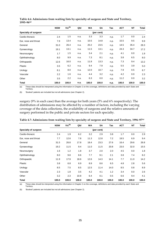|                      | <b>NSW</b> | $Vic^{(b)}$      | Qld  | WA    | SA    | Tas  | <b>ACT</b> | NT      | <b>Total</b> |
|----------------------|------------|------------------|------|-------|-------|------|------------|---------|--------------|
| Specialty of surgeon |            |                  |      |       |       |      |            |         |              |
| Cardio-thoracic      | 2.4        | 1.5              | n.a. | 3.3   | 3.3   | n.p. | 1.7        | 0.0     | 2.4          |
| Ear, nose and throat | 7.9        | 13.4             | n.a. | 10.5  | 14.8  | n.p. | 15.5       | 9.5     | 9.9          |
| General              | 31.0       | 26.4             | n.a. | 20.2  | 23.5  | n.p. | 14.5       | 35.4    | 28.3         |
| Gynaecology          | 19.1       | 13.1             | n.a. | 11.5  | 13.1  | n.p. | 24.3       | 34.7    | 17.2         |
| Neurosurgery         | 1.7        | 1.5              | n.a. | 3.4   | 2.1   | n.p. | 4.1        | 0.0     | 1.9          |
| Ophthalmology        | 8.0        | 9.9              | n.a. | 7.3   | 8.1   | n.p. | 3.8        | 6.5     | 8.0          |
| Orthopaedic          | 12.6       | 16.0             | n.a. | 11.8  | 13.3  | n.p. | 7.3        | 9.4     | 13.2         |
| Plastic              | 3.5        | 6.2              | n.a. | 9.4   | 7.9   | n.p. | 5.5        | 3.9     | 5.0          |
| Urology              | 8.1        | 8.0              | n.a. | 12.0  | 10.7  | n.p. | 7.9        | 0.5     | 8.7          |
| Vascular             | 2.2        | 1.6              | n.a. | 4.4   | 3.2   | n.p. | 4.2        | $0.0\,$ | 2.3          |
| Other                | 3.5        | $2.2\phantom{0}$ | n.a. | 6.3   | 0.0   | n.p. | 11.2       | 0.0     | 3.2          |
| Total                | 100.0      | 100.0            | n.a. | 100.0 | 100.0 | n.p. | 100.0      | 100.0   | 100.0        |

#### **Table 4.6: Admissions from waiting lists by specialty of surgeon and State and Territory, 1995–96(a)**

 $\overline{a}$  These data should be interpreted using the information in Chapter 2 on the coverage, definitions and data provided by each State and Territory.

(b) 'Booked' patients are included but not all admissions (see Chapter 2).

surgery (9% in each case) than the average for both years (5% and 6% respectively). The distribution of admissions may be affected by a number of factors, including the varying coverage of the data collections, the availability of surgeons and the relative amounts of surgery performed in the public and private sectors for each specialty.

|                      | <b>NSW</b> | $\mathsf{Vic}^{(\mathsf{b})}$ | Qld   | <b>WA</b> | SA         | Tas   | <b>ACT</b> | NT    | Total |
|----------------------|------------|-------------------------------|-------|-----------|------------|-------|------------|-------|-------|
| Specialty of surgeon |            |                               |       |           | (per cent) |       |            |       |       |
| Cardio-thoracic      | 2.4        | 1.9                           | 6.2   | 3.2       | 2.9        | 3.8   | 1.7        | 0.0   | 2.9   |
| Ear, nose and throat | 7.7        | 12.6                          | 7.8   | 11.3      | 12.8       | 7.2   | 19.5       | 6.9   | 9.4   |
| General              | 31.5       | 26.8                          | 17.8  | 18.4      | 23.3       | 27.6  | 16.4       | 29.6  | 26.8  |
| Gynaecology          | 19.2       | 11.5                          | 9.4   | 11.0      | 11.5       | 20.8  | 23.0       | 32.0  | 15.5  |
| Neurosurgery         | 1.6        | 1.2                           | 1.8   | 3.7       | 2.0        | 2.0   | 4.5        | 0.0   | 1.8   |
| Ophthalmology        | 8.0        | 9.8                           | 8.6   | 7.7       | 9.1        | 2.1   | 3.8        | 7.4   | 8.2   |
| Orthopaedic          | 11.9       | 17.9                          | 18.6  | 12.6      | 14.3       | 14.1  | 7.7        | 11.0  | 14.2  |
| Plastic              | 3.8        | 6.8                           | 6.9   | 8.9       | 8.6        | 6.5   | 4.8        | 2.8   | 5.6   |
| Urology              | 8.5        | 7.5                           | 8.5   | 12.5      | 11.4       | 14.0  | 8.5        | 0.8   | 8.9   |
| Vascular             | 2.3        | 1.8                           | 3.5   | 4.2       | 4.1        | 1.2   | 3.4        | 0.0   | 2.6   |
| Other                | 3.2        | 2.3                           | 10.8  | 6.4       | 0.1        | 0.5   | 6.6        | 9.4   | 4.1   |
| Total                | 100.0      | 100.0                         | 100.0 | 100.0     | 100.0      | 100.0 | 100.0      | 100.0 | 100.0 |

**Table 4.7: Admissions from waiting lists by specialty of surgeon and State and Territory, 1996–97(a)**

(a) These data should be interpreted using the information in Chapter 2 on the coverage, definitions and data provided by each State and Territory.

(b) 'Booked' patients are included but not all admissions (see Chapter 2).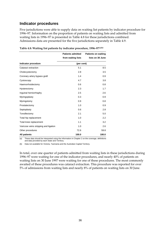#### **Indicator procedures**

Five jurisdictions were able to supply data on waiting list patients by indicator procedure for 1996–97. Information on the proportion of patients on waiting lists and admitted from waiting lists in 1996–97 is presented in Table 4.8 for these jurisdictions combined. Admissions data are presented for the five jurisdictions separately in Table 4.9.

|                                       | <b>Patients admitted</b> | <b>Patients on waiting</b> |  |  |  |
|---------------------------------------|--------------------------|----------------------------|--|--|--|
|                                       | from waiting lists       | lists on 30 June           |  |  |  |
| Indicator procedure                   | (per cent)               |                            |  |  |  |
| Cataract extraction                   | 5.1                      | 8.5                        |  |  |  |
| Cholecystectomy                       | 2.8                      | 3.5                        |  |  |  |
| Coronary artery bypass graft          | 1.4                      | 0.9                        |  |  |  |
| Cystoscopy                            | 4.7                      | 3.8                        |  |  |  |
| Haemorrhoidectomy                     | 0.6                      | 0.8                        |  |  |  |
| Hysterectomy                          | 2.3                      | 1.7                        |  |  |  |
| Inguinal herniorrhaphy                | 2.5                      | 2.6                        |  |  |  |
| Myringoplasty                         | 0.3                      | 0.9                        |  |  |  |
| Myringotomy                           | 0.9                      | 0.8                        |  |  |  |
| Prostatectomy                         | 1.0                      | 0.9                        |  |  |  |
| Septoplasty                           | 0.6                      | 2.8                        |  |  |  |
| Tonsillectomy                         | 2.1                      | 5.0                        |  |  |  |
| Total hip replacement                 | 1.0                      | 2.2                        |  |  |  |
| Total knee replacement                | 1.1                      | 3.2                        |  |  |  |
| Varicose veins stripping and ligation | 1.0                      | 2.6                        |  |  |  |
| Other procedures                      | 72.6                     | 59.8                       |  |  |  |
| <b>All patients</b>                   | 100.0                    | 100.0                      |  |  |  |

**Table 4.8: Waiting list patients by indicator procedure, 1996–97(a)(b)**

(a) These data should be interpreted using the information in Chapter 2 on the coverage, definitions and data provided by each State and Territory.

(b) Data not available for Victoria, Tasmania and the Australian Capital Territory.

In total, over one quarter of patients admitted from waiting lists in these jurisdictions during 1996–97 were waiting for one of the indicator procedures, and nearly 40% of patients on waiting lists on 30 June 1997 were waiting for one of these procedures. The most commonly awaited of these procedures was cataract extraction. This procedure was reported for over 5% of admissions from waiting lists and nearly 8% of patients on waiting lists on 30 June.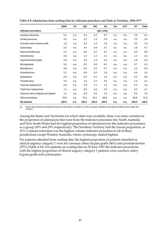|                                       | <b>NSW</b> | Vic  | Qld   | <b>WA</b> | SA    | <b>Tas</b> | <b>ACT</b> | NT    | <b>Total</b> |  |
|---------------------------------------|------------|------|-------|-----------|-------|------------|------------|-------|--------------|--|
| Indicator procedure                   | (per cent) |      |       |           |       |            |            |       |              |  |
| Cataract extraction                   | 5.2        | n.a. | 5.1   | 3.5       | 5.7   | n.a.       | n.a.       | 3.9   | 5.1          |  |
| Cholecystectomy                       | 3.2        | n.a. | 2.3   | 1.3       | 2.9   | n.a.       | n.a.       | 2.2   | 2.8          |  |
| Coronary artery bypass graft          | 1.2        | n.a. | 2.4   | 1.0       | 1.8   | n.a.       | n.a.       | 0.0   | 1.4          |  |
| Cystoscopy                            | 5.2        | n.a. | 4.4   | 3.9       | 4.1   | n.a.       | n.a.       | 1.8   | 4.7          |  |
| Haemorrhoidectomy                     | 0.7        | n.a. | 0.6   | 0.2       | 0.7   | n.a.       | n.a.       | 0.5   | 0.6          |  |
| Hysterectomy                          | 2.9        | n.a. | 1.2   | 1.2       | 2.1   | n.a.       | n.a.       | 1.2   | 2.3          |  |
| Inguinal herniorrhaphy                | 2.8        | n.a. | 1.9   | 1.6       | 2.4   | n.a.       | n.a.       | 1.8   | 2.5          |  |
| Myringoplasty                         | 0.2        | n.a. | 0.3   | 0.6       | 0.4   | n.a.       | n.a.       | 0.7   | 0.3          |  |
| Myringotomy                           | 0.8        | n.a. | 0.6   | 2.3       | 0.7   | n.a.       | n.a.       | 1.2   | 0.9          |  |
| Prostatectomy                         | 1.1        | n.a. | 0.5   | 0.2       | 1.8   | n.a.       | n.a.       | 0.4   | 1.0          |  |
| Septoplasty                           | 0.6        | n.a. | 0.6   | 0.4       | 1.0   | n.a.       | n.a.       | 0.2   | 0.6          |  |
| Tonsillectomy                         | 2.2        | n.a. | 1.6   | 2.2       | 2.6   | n.a.       | n.a.       | 1.3   | 2.1          |  |
| Total hip replacement                 | 0.9        | n.a. | 0.9   | 1.1       | 1.4   | n.a.       | n.a.       | 0.2   | 1.0          |  |
| Total knee replacement                | 1.1        | n.a. | 0.9   | 1.0       | 1.5   | n.a.       | n.a.       | 0.2   | 1.1          |  |
| Varicose veins stripping and ligation | 1.1        | n.a. | 0.9   | 0.3       | 1.0   | n.a.       | n.a.       | 0.5   | 1.0          |  |
| Other procedures                      | 70.8       | n.a. | 75.9  | 79.1      | 69.8  | n.a.       | n.a.       | 83.9  | 72.6         |  |
| All patients                          | 100.0      | n.a. | 100.0 | 100.0     | 100.0 | n.a.       | n.a.       | 100.0 | 100.0        |  |

**Table 4.9: Admissions from waiting lists by indicator procedure and State or Territory, 1996–97(a)**

(a) These data should be interpreted using the information in Chapter 2 on the coverage, definitions and data provided by each State and **Territory.** 

Among the States and Territories for which data were available, there was some variation in the proportion of admissions that were from the indicator procedure list. South Australia and New South Wales had the highest proportion of admissions for the indicator procedures as a group (30% and 29% respectively). The Northern Territory had the lowest proportion, at 16%. Cataract extraction was the highest volume indicator procedure in all of these jurisdictions except Western Australia, where cystoscopy ranked highest.

For patients admitted from waiting lists, the highest proportion of patients classified as clinical urgency category 1 were for coronary artery bypass grafts (46%) and prostatectomies (37%) (Table 4.10). For patients on waiting lists on 30 June 1997 the indicator procedures with the highest proportion of clinical urgency category 1 patients were coronary artery bypass grafts and cystoscopies.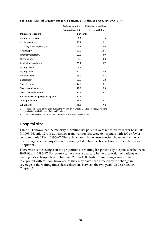|                                       | <b>Patients admitted</b> | <b>Patients on waiting</b> |
|---------------------------------------|--------------------------|----------------------------|
|                                       | from waiting lists       | lists on 30 June           |
| Indicator procedure                   | (per cent)               |                            |
| Cataract extraction                   | 7.9                      | 1.6                        |
| Cholecystectomy                       | 28.7                     | 8.1                        |
| Coronary artery bypass graft          | 46.1                     | 22.6                       |
| Cystoscopy                            | 31.8                     | 12.7                       |
| Haemorrhoidectomy                     | 21.2                     | 3.9                        |
| Hysterectomy                          | 25.6                     | 9.6                        |
| Inguinal herniorrhaphy                | 23.1                     | 6.7                        |
| Myringoplasty                         | 8.2                      | 1.2                        |
| Myringotomy                           | 22.0                     | 10.5                       |
| Prostatectomy                         | 35.9                     | 10.4                       |
| Septoplasty                           | 21.6                     | 1.2                        |
| Tonsillectomy                         | 14.0                     | 3.1                        |
| Total hip replacement                 | 17.2                     | 5.6                        |
| Total knee replacement                | 11.9                     | 4.2                        |
| Varicose veins stripping and ligation | 12.1                     | 1.7                        |
| Other procedures                      | 36.1                     | 8.7                        |
| <b>All patients</b>                   | 32.2                     | 7.4                        |

**Table 4.10: Clinical urgency category 1 patients by indicator procedure, 1996–97(a)(b)**

(a) These data should be interpreted using the information in Chapter 2 on the coverage, definitions and data provided by each State and Territory.

(b) Data not available for Victoria, Tasmania and the Australian Capital Territory.

### **Hospital size**

Table 4.11 shows that the majority of waiting list patients were reported for larger hospitals. In 1995–96, only 12% of admissions from waiting lists were to hospitals with 100 or fewer beds, and only 11% in 1996–97. These data would have been affected, however, by the lack of coverage of some hospitals in the waiting list data collections of some jurisdictions (see Chapter 2).

There were some changes in the proportions of waiting list patients by hospital size between 1995–96 and 1996–97. For example, there was a decrease in the proportion of patients on waiting lists at hospitals with between 201 and 500 beds. These changes need to be interpreted with caution, however, as they may have been affected by the change in coverage of the waiting times data collections between the two years, as described in Chapter 2.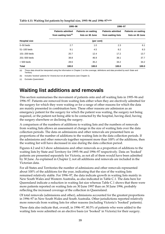|                      | 1995-96                                                       |                                                | 1996-97                                        |                                                |  |  |  |
|----------------------|---------------------------------------------------------------|------------------------------------------------|------------------------------------------------|------------------------------------------------|--|--|--|
|                      | <b>Patients admitted</b><br>from waiting lists <sup>(c)</sup> | <b>Patients on waiting</b><br>lists on 30 June | <b>Patients admitted</b><br>from waiting lists | <b>Patients on waiting</b><br>lists on 30 June |  |  |  |
| <b>Hospital size</b> |                                                               | (per cent)                                     |                                                |                                                |  |  |  |
| $0 - 50$ beds        | 2.7                                                           | 1.0                                            | 2.3                                            | 6.1                                            |  |  |  |
| $51-100$ beds        | 9.1                                                           | 4.5                                            | 8.2                                            | 8.3                                            |  |  |  |
| $101 - 200$ beds     | 20.7                                                          | 12.4                                           | 17.2                                           | 13.7                                           |  |  |  |
| 201-500 beds         | 38.8                                                          | 46.9                                           | 38.1                                           | 37.7                                           |  |  |  |
| $> 500$ beds         | 28.6                                                          | 35.2                                           | 34.2                                           | 34.2                                           |  |  |  |
| <b>Total</b>         | 100.0                                                         | 100.0                                          | 100.0                                          | 100.0                                          |  |  |  |

#### **Table 4.11: Waiting list patients by hospital size, 1995–96 and 1996–97(a)(b)**

(a) These data should be interpreted using the information in Chapter 2 on the coverage, definitions and data provided by each State and **Territory** 

(b) Includes 'booked' patients for Victoria but not all admissions (see Chapter 2).

(c) Excludes Queensland.

## **Waiting list additions and removals**

This section summarises the movement of patients onto and off waiting lists in 1995–96 and 1996–97. Patients are removed from waiting lists either when they are electively admitted for the surgery for which they were waiting or for a range of other reasons for which the data are mainly presented in combination here. These other reasons are admission as an emergency patient for the surgery for which the patient was waiting, the surgery not being required, or the patient not being able to be contacted by the hospital, having died, having the surgery elsewhere or declining the surgery.

A comparison of the numbers of additions to waiting lists and the numbers of removals from waiting lists allows an assessment of change in the size of waiting lists over the data collection periods. The data on admissions and other removals are presented here as proportions of the number of additions to the waiting lists in the data collection periods. If the admissions and other removals together represent more than 100% of the additions, then the waiting list will have decreased in size during the data collection period.

Figures 4.2 and 4.3 show admissions and other removals as a proportion of additions to the waiting lists by State and Territory for 1995–96 and 1996–97 respectively. Data on 'booked' patients are presented separately for Victoria, as not all of them would have been admitted by 30 June. As explained in Chapter 2, not all additions and removals are included in the Victorian data.

For all States and Territories the number of admissions and other removals represented about 100% of the additions for the year, indicating that the size of the waiting lists remained relatively stable. For 1996–97, the data indicate growth in waiting lists mainly in New South Wales and Western Australia, as also indicated in Table C.1. The data here for Queensland indicate a reduction in waiting list size whereas Table C.1 shows that there were more patients reported on waiting lists on 30 June 1997 than on 30 June 1996, probably reflecting the increased coverage of the collection in Queensland.

Of total removals (admissions and other), admissions accounted for the greatest proportions in 1996–97 in New South Wales and South Australia. Other jurisdictions reported relatively more removals from waiting lists for other reasons (including Victoria's 'booked' patients).

These data also indicate that, overall, in 1996–97, 80.5% of patients who were added to the waiting lists were admitted on an elective basis (or 'booked' in Victoria) for their surgery.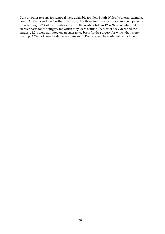Data on other reasons for removal were available for New South Wales, Western Australia, South Australia and the Northern Territory. For those four jurisdictions combined, patients representing 83.7% of the number added to the waiting lists in 1996–97 were admitted on an elective basis for the surgery for which they were waiting. A further 5.0% declined the surgery, 1.2% were admitted on an emergency basis for the surgery for which they were waiting, 2.6% had been treated elsewhere and 1.1% could not be contacted or had died.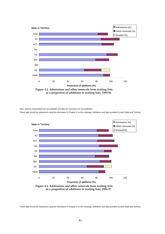

**Figure 4.2. Admissions and other removals from waiting lists as a proportion of additions to waiting lists, 1995-96**

Note: Data for Queensland are not available and data for Tasmania are not published.

These data should be interpreted using the information in Chapter 2 on the coverage, definitions and data provided by each State and Territory.



**Figure 4.3. Admissions and other removals from waiting lists as a proportion of additions to waiting lists, 1996-97**

These data should be interpreted using the information in Chapter 2 on the coverage, definitions and data provided by each State and Territory.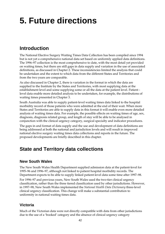# **5. Future directions**

## **Introduction**

The National Elective Surgery Waiting Times Data Collection has been compiled since 1994 but is not yet a comprehensive national data set based on uniformly applied data definitions. The 1996–97 collection is the most comprehensive to date, with the most detail yet provided on waiting times, but there are still gaps in data supply and variation in the use of associated definitions, as discussed in Chapter 2. These inconsistencies limited the analysis that could be undertaken and the extent to which data from the different States and Territories and from the two years are comparable.

As also discussed in Chapter 2, there is variation in the format in which the data are supplied to the Institute by the States and Territories, with most supplying data at the establishment level and some supplying some or all the data at the patient level. Patient level data enable more detailed analysis to be undertaken, for example, the distributions of waiting times presented in Chapter 3.

South Australia was able to supply patient-level waiting times data linked to the hospital morbidity record of those patients who were admitted at the end of their wait. When more States and Territories are able to supply data in this format it will enable even more detailed analysis of waiting times data. For example, the possible effects on waiting times of age, sex, diagnosis, diagnosis related group, and length of stay will be able to be analysed in conjunction with the clinical urgency category, surgical specialty and indicator procedures.

The gaps in and format of data supply and the use and development of data definitions are being addressed at both the national and jurisdiction levels and will result in improved national elective surgery waiting times data collections and reports in the future. The proposed developments are briefly described in this chapter.

## **State and Territory data collections**

#### **New South Wales**

The New South Wales Health Department supplied admission data at the patient-level for 1995–96 and 1996–97, although not linked to patient hospital morbidity records. The Department expects to be able to supply linked patient-level data some time after 1997–98.

For 1996–97 and previous years, New South Wales used the two-tier clinical urgency classification, rather than the three tiered classification used by other jurisdictions. However, in 1997–98, New South Wales implemented the *National Health Data Dictionary* three-level clinical urgency classification. This change will make a substantial contribution to uniformity in national waiting times data.

## **Victoria**

Much of the Victorian data were not directly compatible with data from other jurisdictions due to the use of a 'booked' category and the absence of clinical urgency category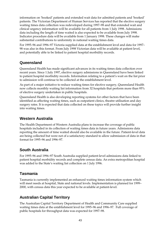information on 'booked' patients and extended wait data for admitted patients and 'booked' patients. The Victorian Department of Human Services has reported that the elective surgery waiting times data collection was redeveloped during 1997–98 and that extended wait and clinical urgency information will be available for all patients from 1 July 1998. Admissions data including the length of time waited is also expected to be available from July 1998. Indicator procedure data will be available from 1 January 1998. These changes will make substantial contributions to uniformity in national waiting times data.

For 1995–96 and 1996–97 Victoria supplied data at the establishment level and data for 1997– 98 was also in this format. From July 1998 Victorian data will be available at patient level, and potentially able to be linked to patient hospital morbidity records.

#### **Queensland**

Queensland Health has made significant advances in its waiting times data collection over recent years. Since 1 July 1997, elective surgery admissions in Queensland have been linked to patient hospital morbidity records. Information relating to a patient's wait on the list prior to admission will continue to be collected at the establishment level.

As part of a major initiative to reduce waiting times for elective surgery, Queensland Health now collects monthly waiting list information from 32 hospitals that perform more than 95% of elective surgery undertaken in public hospitals.

Queensland Health is also developing reporting systems for other factors that have been identified as affecting waiting times, such as outpatient clinics, theatre utilisation and day surgery rates. It is expected that data collected on these topics will provide further insight into waiting times.

### **Western Australia**

The Health Department of Western Australia plans to increase the coverage of public hospitals included in its collection of waiting times data in future years. Admissions data reporting the amount of time waited should also be available in the future. Patient-level data are being collected but were not of a satisfactory standard to allow submission of data in that format for 1995–96 and 1996–97.

### **South Australia**

For 1995–96 and 1996–97 South Australia supplied patient-level admissions data linked to patient hospital morbidity records and complete census data. An extra metropolitan hospital was added to the State's waiting list collection on 1 July 1996.

### **Tasmania**

Tasmania is currently implemented an enhanced waiting times information system which will meet needs at hospital, State and national levels. Implementation is planned for 1999– 2000, with census data this year expected to be available at patient-level.

## **Australian Capital Territory**

The Australian Capital Territory Department of Health and Community Care supplied waiting times data at the establishment level for 1995–96 and 1996–97. Full coverage of public hospitals for throughput data was expected for 1997–98.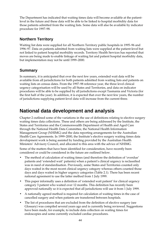The Department has indicated that waiting times data will become available at the patientlevel in the future and these data will be able to be linked to hospital morbidity data for those patients admitted from the waiting lists. Some data will also be available by indicator procedure for 1997–98.

### **Northern Territory**

Waiting list data were supplied for all Northern Territory public hospitals in 1995–96 and 1996–97. Data on patients admitted from waiting lists were supplied at the patient-level but not linked to patient hospital morbidity records. Territory Health Services has reported that moves are being made to enable linkage of waiting list and patient hospital morbidity data, but implementation may not be until 1999–2000.

### **Summary**

In summary, it is anticipated that over the next few years, extended wait data will be available from all jurisdictions for both patients admitted from waiting lists and patients on waiting lists on census dates. From the 1997–98 reference year, the three level clinical urgency categorisation will be used by all States and Territories, and data on indicator procedures will be able to be supplied by all jurisdictions except Tasmania and Victoria (for the first half of the year). In addition, it is expected that over the next few years, the number of jurisdictions supplying patient-level data will increase from the current three.

## **National data development and analysis**

Chapter 2 outlined some of the variations in the use of definitions relating to elective surgery waiting times data collections. These and others are being addressed by the Institute, the States and Territories and the Commonwealth Department of Health and Aged Care through the National Health Data Committee, the National Health Information Management Group (NHIMG) and the data reporting arrangements for the Australian Health Care Agreements. In 1999–2000, the Institute's elective surgery waiting times data development work is being assisted by funding provided by the Australian Health Ministers' Advisory Council, and allocated to this area with the advice of NHIMG.

Some of the matters that have been identified for consideration, have recently been considered or could be considered in the future are outlined below.

- The method of calculation of waiting times (and therefore the definition of 'overdue' patients and 'extended wait' patients) when a patient's clinical urgency is reclassified was in need of standardisation. Previously, some States and Territories counted only days waited in the most recent clinical urgency category whereas others counted those days and days waited in higher urgency categories (Table 2.1). There has been recent national agreement to use the latter method from 1 July 1999.
- This paper informally uses a definition of 'extended wait patient' for clinical urgency category 3 patient who waited over 12 months. This definition has recently been approved nationally so it is expected that all jurisdictions will use it from 1 July 1999.
- A nationally agreed method is required for calculation of waiting times in the case of cancelled surgery and when patients are transferred between hospitals.
- The list of procedures that are excluded from the definition of elective surgery (see Glossary) was compiled several years ago and is currently being reviewed. Suggestions have been made, for example, to include data collection on waiting times for endoscopies and some currently excluded cardiac procedures.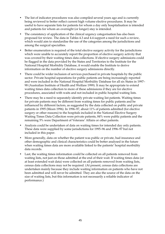- The list of indicator procedures was also compiled several years ago and is currently being reviewed to better reflect current high volume elective procedures. It may be useful to have separate lists for patients for whom a day only hospitalisation is intended and patients for whom an overnight (or longer) stay is intended.
- The consistency of application of the clinical urgency categorisation has also been proposed for review. The data in Tables 4.3 and 4.4 support a need for such a review, which would aim to standardise the use of the categories among the jurisdictions and among the surgical specialties.
- Better enumeration is required of the total elective surgery activity for the jurisdictions which were unable to accurately report the proportion of elective surgery activity that was covered by their waiting times data collections. If elective surgery admissions could be flagged in the data provided by the States and Territories to the Institute for the National Hospital Morbidity Database, it would enable the Institute to derive information on the number of elective surgery admissions directly.
- There could be wider inclusion of services purchased in private hospitals by the public sector. Private hospital separations for public patients are being increasingly reported and were included in the National Hospital Morbidity Database for all six States in 1997– 98 (Australian Institute of Health and Welfare 1999). It may be appropriate to extend waiting times data collection to more of these admissions if they are for elective procedures, associated with waits and not included in public hospital waiting lists.
- There may be a need to separately identify private waiting list patients. Waiting times for private patients may be different from waiting times for public patients and be influenced by different factors, as suggested by the data collected on public and private patients in 1995 (Moon 1996). In 1996–97, about 11% of patients admitted (for elective surgery or other reasons) to the hospitals included in the National Elective Surgery Waiting Times Data Collection were private patients, 84% were public patients and the remaining 5% were Department of Veterans' Affairs or other patients.
- Analysis could be undertaken of data on waiting times for intended day only patients. These data were supplied by some jurisdictions for 1995–96 and 1996–97 but not included in this paper.
- More generally, data on whether the patient was public or private, had insurance and other demographic and clinical characteristics could be better analysed in the future when waiting times data are more available linked to the patients' hospital morbidity data records.
- Last, the waiting times information could be collected on all patients removed from waiting lists, not just on those admitted at the end of their wait. If waiting times data (or at least extended wait data) were collected on all patients removed from waiting lists, census data collections may not be required. (At present, census data collections are undertaken mainly because they include waiting information on patients who have not been admitted and will never be admitted. They are also the source of the data on the size of waiting lists, but this information is not necessarily a reliable indicator of performance.)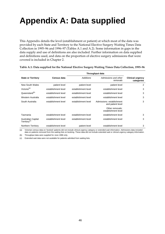# **Appendix A: Data supplied**

This Appendix details the level (establishment or patient) at which most of the data was provided by each State and Territory to the National Elective Surgery Waiting Times Data Collection in 1995–96 and 1996–97 (Tables A.1 and A.2). Some information in gaps in the data supply and use of definitions are also included. Further information on data supplied and definitions used, and data on the proportion of elective surgery admissions that were covered is included in Chapter 2.

|                                                |                     | Throughput data     |                                                |                                       |
|------------------------------------------------|---------------------|---------------------|------------------------------------------------|---------------------------------------|
| <b>State or Territory</b>                      | Census data         | <b>Additions</b>    | Admissions and other<br>removals               | <b>Clinical urgency</b><br>categories |
| New South Wales                                | patient level       | patient level       | patient level                                  | 2                                     |
| Victoria <sup>(a)</sup>                        | establishment level | establishment level | establishment level                            |                                       |
| Queensland <sup>(b)</sup>                      | establishment level | establishment level | establishment level                            |                                       |
| Western Australia                              | establishment level | establishment level | establishment level                            | 3                                     |
| South Australia                                | establishment level | establishment level | Admissions: establishment<br>and patient level | 3                                     |
|                                                |                     |                     | Other removals:<br>establishment level         |                                       |
| Tasmania                                       | establishment level | establishment level | establishment level                            | 3                                     |
| Australian Capital<br>Territory <sup>(c)</sup> | establishment level | establishment level | establishment level                            | 3                                     |
| Northern Territory                             | establishment level | patient level       | establishment level                            | 3                                     |

#### **Table A.1: Data supplied for the National Elective Surgery Waiting Times Data Collection, 1995–96**

(a) Victorian census data on 'booked' patients did not include clinical urgency category or extended wait information. Admissions data included data on patients removed from the waiting lists on booking. These data did not include extended wait or clinical urgency category information.

(b) Throughput data were supplied for June 1996 only.

(c) Extended wait data were not available for patients admitted from waiting lists.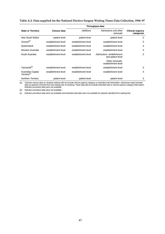|  | Table A.2: Data supplied for the National Elective Surgery Waiting Times Data Collection, 1996–97 |
|--|---------------------------------------------------------------------------------------------------|
|  |                                                                                                   |

| <b>Clinical urgency</b> |
|-------------------------|
| categories              |
| 2                       |
| 3                       |
| 3                       |
| 3                       |
| 3                       |
|                         |
| 3                       |
| 3                       |
| 3                       |
| .                       |

(a) Victorian census data on 'booked' patients did not include clinical urgency category or extended wait information. Admissions data included<br>data on patients removed from the waiting lists on booking. These data did not Indicator procedure data were not available.

(b) Indicator procedure data were not available.

(c) Indicator procedure data were not available and extended wait data were not available for patients admitted from waiting lists.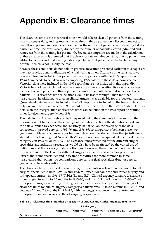# **Appendix B: Clearance times**

The clearance time is the theoretical time it would take to clear all patients from the waiting lists at a census date, and represents the maximum time a patient on a list could expect to wait. It is expressed in months, and defined as the number of patients on the waiting list at a particular time (the census date) divided by the number of patients cleared (admitted and removed) from the waiting list per month. Several assumptions are made in the calculation of these measures. It is assumed that the clearance rate remains constant, that no patients are added to the lists and that waiting lists are pooled so that patients can be treated at any hospital (which is not usually the case).

Because these conditions do not hold in practice, measures presented earlier in this paper are likely to provide better indications of actual waiting times. Clearance time statistics have, however, been included in this paper to allow comparisons with the 1995 report (Moon 1996). Care needs to be taken when comparing 1995 data with these data, however, as Victorian data were included in the 1995 report but are not included in this appendix. Victoria has not been included because counts of patients on waiting lists on census dates include 'booked' patients in this paper, and counts of patients cleared also include 'booked' patients. Thus clearance time calculations would be less meaningful than for other jurisdictions. In addition, no data on clinical urgency was available for the 'booked' patients. Queensland data were not included in the 1995 report, are included on the basis of data on only one month of removals for 1995–96, but are included fully in the 1996–97 tables. Further details on the interpretation of clearance times can be found in the 1995 report on waiting times for elective surgery (Moon 1996).

The data in this Appendix should be interpreted using the comments in the text and the information in Chapter 2 on the coverage of the data collections, the definitions used, and the data supplied by each State and Territory. In particular, the coverage of the data collections improved between 1995–96 and 1996–97, so comparisons between these two years are problematic. Comparisons between New South Wales and the other jurisdictions should be made noting that New South Wales did not have an equivalent of clinical urgency category 2 in 1995–96 or 1996–97. The clearance times presented for the different surgical specialties and indicator procedures would also have been affected by the varied use of definitions and the coverage of data collections. However, there may not have been large differences in the effects on the different surgical specialties and indicator procedures (except that some specialties and indicator procedures are more common in some jurisdictions than others), so comparisons between surgical specialties (but not between years) could be made cautiously.

The clearance time for clinical urgency category 1 patients was less than one month for all surgical specialties in both 1995–96 and 1996–97, except for ear, nose and throat surgery and orthopaedic surgery in 1996–97 (Tables B.1 and B.2). Clinical urgency category 2 clearance times ranged from 1.8 to 7.6 months in 1995–96, and from 2.3 to 6.3 months in 1996–97, with orthopaedic surgery recording the longest clearance times in both periods. The range of clearance times for clinical urgency category 3 patients was 1.8 to 8.5 months in 1995–96 and between 2.1 and 7.8 months in 1996–97, with the longest clearance times reported for orthopaedic, and ear, nose and throat surgery, respectively.

**Table B.1: Clearance time (months) by specialty of surgeon and clinical urgency, 1995–96(a)(b)**

|                      | <b>Category 1</b> | Category 2 <sup>(c)</sup> |          | Category 3 <sup>(c)</sup> Categories 2 & 3 All patients <sup>(c)</sup> |  |
|----------------------|-------------------|---------------------------|----------|------------------------------------------------------------------------|--|
| Specialty of surgeon |                   |                           | (months) |                                                                        |  |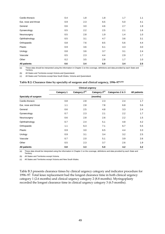| <b>All patients</b>  | 0.6 | 3.4 | 5.0 | 3.4 | 2.5 |
|----------------------|-----|-----|-----|-----|-----|
| Other                | 0.2 | 3.5 | 2.8 | 1.7 | 1.0 |
| Vascular             | 0.5 | 2.3 | 4.4 | 2.9 | 1.7 |
| Urology              | 0.8 | 3.6 | 3.7 | 3.1 | 2.4 |
| Plastic              | 0.9 | 3.6 | 6.1 | 4.3 | 3.0 |
| Orthopaedic          | 0.8 | 7.6 | 8.5 | 5.6 | 4.4 |
| Ophthalmology        | 0.5 | 3.1 | 4.7 | 3.6 | 3.1 |
| Neurosurgery         | 0.5 | 2.8 | 1.9 | 1.4 | 1.0 |
| Gynaecology          | 0.5 | 2.2 | 2.5 | 2.1 | 1.6 |
| General              | 0.6 | 3.0 | 4.6 | 2.7 | 1.9 |
| Ear, nose and throat | 0.9 | 2.3 | 6.5 | 5.0 | 4.1 |
| Cardio-thoracic      | 0.4 | 1.8 | 1.8 | 1.7 | 1.1 |

(a) These data should be interpreted using the information in Chapter 2 on the coverage, definitions and data provided by each State and Territory.

(b) All States and Territories except Victoria and Queensland.

(c) All States and Territories except New South Wales, Victoria and Queensland.

#### **Table B.2: Clearance time by specialty of surgeon and clinical urgency, 1996–97(a)(b)**

|                      | Category 1 | Category 2 <sup>(c)</sup> | Category 3 <sup>(c)</sup> | Categories 2 & 3 | All patients |
|----------------------|------------|---------------------------|---------------------------|------------------|--------------|
| Specialty of surgeon |            |                           | (months)                  |                  |              |
| Cardio-thoracic      | 0.8        | 2.8                       | 2.3                       | 2.4              | 1.7          |
| Ear, nose and throat | 1.1        | 2.8                       | 7.8                       | 6.8              | 5.6          |
| General              | 0.6        | 2.5                       | 4.8                       | 3.3              | 2.4          |
| Gynaecology          | 0.7        | 2.3                       | 2.1                       | 2.2              | 1.7          |
| Neurosurgery         | 0.6        | 2.8                       | 2.6                       | 2.2              | 1.5          |
| Ophthalmology        | 0.7        | 2.4                       | 5.1                       | 4.8              | 4.2          |
| Orthopaedic          | 1.1        | 6.3                       | 7.1                       | 6.7              | 5.5          |
| Plastic              | 0.9        | 3.0                       | 6.5                       | 4.4              | 3.3          |
| Urology              | 0.9        | 3.1                       | 3.4                       | 3.2              | 2.5          |
| Vascular             | 0.7        | 2.0                       | 5.1                       | 3.9              | 2.6          |
| Other                | 0.5        | 2.3                       | 3.7                       | 2.6              | 1.9          |
| <b>All patients</b>  | 0.8        | 3.3                       | 5.0                       | 4.2              | 3.2          |

(a) These data should be interpreted using the information in Chapter 2 on the coverage, definitions and data provided by each State and Territory.

(b) All States and Territories except Victoria.

(c) All States and Territories except Victoria and New South Wales.

Table B.3 presents clearance times by clinical urgency category and indicator procedure for 1996–97. Total knee replacement had the longest clearance time in both clinical urgency category 1 (2.6 months) and clinical urgency category 2 (8.8 months). Myringoplasty recorded the longest clearance time in clinical urgency category 3 (6.5 months).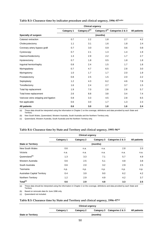|                                       | <b>Clinical urgency</b> |                           |     |                                            |                     |
|---------------------------------------|-------------------------|---------------------------|-----|--------------------------------------------|---------------------|
|                                       | <b>Category 1</b>       | Category 2 <sup>(c)</sup> |     | Category 3 <sup>(c)</sup> Categories 2 & 3 | <b>All patients</b> |
| Specialty of surgeon                  | (months)                |                           |     |                                            |                     |
| Cataract extraction                   | 0.7                     | 2.2                       | 1.8 | 2.7                                        | 4.2                 |
| Cholecystectomy                       | 1.1                     | 3.1                       | 1.6 | 1.8                                        | 2.4                 |
| Coronary artery bypass graft          | 0.7                     | 3.0                       | 0.9 | 0.6                                        | 0.8                 |
| Cystoscopy                            | 0.7                     | 2.1                       | 1.3 | 1.4                                        | 1.9                 |
| Haemorrhoidectomy                     | 1.3                     | 2.9                       | 2.2 | 1.7                                        | 2.7                 |
| Hysterectomy                          | 0.7                     | 1.8                       | 0.5 | 1.8                                        | 1.8                 |
| Inguinal herniorrhaphy                | 0.8                     | 2.4                       | 1.5 | 1.7                                        | 1.8                 |
| Myringoplasty                         | 0.7                     | 4.7                       | 6.5 | 2.8                                        | 3.0                 |
| Myringotomy                           | 1.0                     | 1.7                       | 1.7 | 2.0                                        | 1.9                 |
| Prostatectomy                         | 0.8                     | 2.5                       | 1.5 | 2.0                                        | 2.2                 |
| Septoplasty                           | 1.2                     | 4.3                       | 6.2 | 4.6                                        | 7.8                 |
| Tonsillectomy                         | 1.6                     | 2.4                       | 2.7 | 3.7                                        | 1.5                 |
| Total hip replacement                 | 1.9                     | 7.0                       | 2.8 | 2.8                                        | 5.7                 |
| Total knee replacement                | 2.6                     | 8.8                       | 3.8 | 3.4                                        | 7.4                 |
| Varicose veins stripping and ligation | 0.8                     | 3.3                       | 4.5 | 2.8                                        | 6.5                 |
| Not applicable                        | 0.6                     | 3.0                       | 1.7 | 1.3                                        | 2.3                 |
| All patients                          | 0.6                     | 3.0                       | 1.8 | 1.6                                        | 2.4                 |

#### **Table B.3: Clearance time by indicator procedure and clinical urgency, 1996–97(a)(b)**

(a) These data should be interpreted using the information in Chapter 2 on the coverage, definitions and data provided by each State and Territory .

(b) New South Wales, Queensland, Western Australia, South Australia and the Northern Territory only.

(c) Queensland, Western Australia, South Australia and the Northern Territory only.

#### **Clinical urgency Category 1 Category 2 Category 3 Categories 2 & 3 All patients** State or Territory **(months)** (months) New South Wales 0.6 n.a. n.a. 2.8 2.0 Victoria n.a. n.a. n.a. n.a. n.a. Queensland<sup>(b)</sup> 1.3 3.3 7.1 5.7 4.9 Western Australia 0.6 2.5 5.1 4.8 3.8 South Australia **2.0** 2.0 3.2 2.9 2.5 Tasmania n.p. n.p. n.p. n.p. n.p. Australian Capital Territory **0.4** 3.9 9.0 6.2 4.2 Northern Territory **1.2** 2.9 4.9 4.2 3.7 **Total(c) 0.6 2.9 4.8 3.3 2.5**

#### **Table B.4: Clearance time by State and Territory and clinical urgency, 1995–96(a)**

(a) These data should be interpreted using the information in Chapter 2 on the coverage, definitions and data provided by each State and Territory

(b) Based on removals data for June 1996 only.

(c) Queensland not included.

#### **Table B.5: Clearance time by State and Territory and clinical urgency, 1996–97(a)**

|                           |            | <b>Clinical urgency</b> |  |                             |              |
|---------------------------|------------|-------------------------|--|-----------------------------|--------------|
|                           | Category 1 | <b>Category 2</b>       |  | Category 3 Categories 2 & 3 | All patients |
| <b>State or Territory</b> | (months)   |                         |  |                             |              |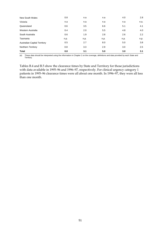| New South Wales                     | 0.8  | n.a  | n.a  | 4.0  | 2.8           |
|-------------------------------------|------|------|------|------|---------------|
| Victoria                            | n.a  | n.a  | n.a  | n.a  | n.a.          |
| Queensland                          | 0.6  | 3.5  | 6.6  | 5.1  | 4.1           |
| Western Australia                   | 0.4  | 2.0  | 5.5  | 4.8  | 4.0           |
| South Australia                     | 0.6  | 1.9  | 2.8  | 2.6  | $2.2^{\circ}$ |
| Tasmania                            | n.p. | n.p. | n.p. | n.p. | n.p.          |
| <b>Australian Capital Territory</b> | 0.5  | 2.7  | 8.0  | 5.0  | 3.8           |
| Northern Territory                  | 0.8  | 3.3  | 2.9  | 3.0  | 2.5           |
| <b>Total</b>                        | 0.8  | 3.1  | 5.0  | 3.0  | 3.1           |

(a) These data should be interpreted using the information in Chapter 2 on the coverage, definitions and data provided by each State and Territory.

Tables B.4 and B.5 show the clearance times by State and Territory for those jurisdictions with data available in 1995–96 and 1996–97, respectively. For clinical urgency category 1 patients in 1995–96 clearance times were all about one month. In 1996–97, they were all less than one month.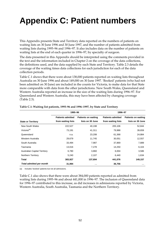# **Appendix C: Patient numbers**

This Appendix presents State and Territory data reported on the numbers of patients on waiting lists on 30 June 1996 and 30 June 1997, and the number of patients admitted from waiting lists during 1995–96 and 1996–97. It also includes data on the number of patients on waiting lists at the end of each quarter in 1996–97, by specialty of surgeon.

The data presented in this Appendix should be interpreted using the comments provided in the text and the information included in Chapter 2 on the coverage of the data collections, the definitions used, and the data supplied by each State and Territory. Table 2.3 details the coverage of the waiting times data collections for each jurisdiction for each of the data collection periods.

Table C.1 shows that there were about 138,000 patients reported on waiting lists throughout Australia on 30 June 1996 and about 149,000 on 30 June 1997. 'Booked' patients (who had not been admitted on 30 June) are included in the counts for Victoria, to make data for that State more comparable with data from the other jurisdictions. New South Wales, Queensland and Western Australia reported an increase in the size of the waiting lists during 1996–97. For Queensland and Western Australia, this may have been affected by changing coverage (Table 2.3).

|                                     | 1995-96                  |                            | 1996-97                  |                            |
|-------------------------------------|--------------------------|----------------------------|--------------------------|----------------------------|
|                                     | <b>Patients admitted</b> | <b>Patients on waiting</b> | <b>Patients admitted</b> | <b>Patients on waiting</b> |
| <b>State or Territory</b>           | from waiting lists       | lists on 30 June           | from waiting lists       | lists on 30 June           |
| New South Wales                     | 222,527                  | 40,198                     | 205,106                  | 52,844                     |
| Victoria <sup>(a)</sup>             | 73,191                   | 41,311                     | 79,988                   | 39,659                     |
| Queensland                          | n.a.                     | 23,208                     | 61,368                   | 24,884                     |
| Western Australia                   | 29,679                   | 11,745                     | 30,051                   | 12,557                     |
| South Australia                     | 33,494                   | 7,987                      | 37,869                   | 7,889                      |
| Tasmania                            | 13,016                   | 7,278                      | 14,250                   | 6,104                      |
| <b>Australian Capital Territory</b> | 6,780                    | 3,860                      | 6,004                    | 3,586                      |
| Northern Territory                  | 5,240                    | 2,107                      | 6,440                    | 1,634                      |
| <b>Total</b>                        | 383,927                  | 137,694                    | 441,076                  | 149,157                    |
| Total admitted per month            | 31,994                   | $\sim$ $\sim$              | 36,756                   | $\sim$                     |

#### **Table C.1: Waiting list patients, 1995–96 and 1996–1997, by State and Territory**

(a) Includes 'booked' patients but not all admissions.

Table C.1 also shows that there were about 384,000 patients reported as admitted from waiting lists during 1995–96 and about 441,000 in 1996–97. The inclusion of Queensland data for 1996–97 contributed to this increase, as did increases in admissions reported by Victoria, Western Australia, South Australia, Tasmania and the Northern Territory.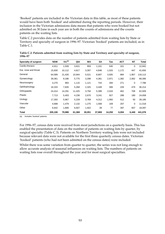'Booked' patients are included in the Victorian data in this table, as most of these patients would have been both 'booked' and admitted during the reporting periods. However, their inclusion in the Victorian admissions data means that patients who were booked but not admitted on 30 June in each year are in both the counts of admissions and the counts patients on the waiting lists.

Table C.2 provides data on the number of patients admitted from waiting lists by State or Territory and specialty of surgeon in 1996–97. Victorian 'booked' patients are included, as in Table C.1.

| Specialty of surgeon | <b>NSW</b> | Vic <sup>(a)</sup> | Qld    | <b>WA</b> | <b>SA</b> | Tas    | <b>ACT</b> | <b>NT</b> | Total   |
|----------------------|------------|--------------------|--------|-----------|-----------|--------|------------|-----------|---------|
| Cardio-thoracic      | 4,911      | 1,509              | 3,821  | 959       | 1,101     | 540    | 101        | 0         | 12,942  |
| Ear, nose and throat | 15,830     | 10,112             | 4,817  | 3,397     | 4,848     | 1,033  | 1,172      | 447       | 41,656  |
| General              | 64,589     | 21,426             | 10,944 | 5,521     | 8,807     | 3,935  | 984        | 1,907     | 118,113 |
| Gynaecology          | 39,361     | 9,186              | 5,775  | 3,298     | 4,361     | 2,971  | 1,382      | 2,062     | 68,396  |
| Neurosurgery         | 3,270      | 983                | 1,115  | 1,121     | 744       | 284    | 271        | 0         | 7,788   |
| Ophthalmology        | 16,333     | 7,826              | 5,268  | 2,325     | 3,449     | 306    | 228        | 479       | 36,214  |
| Orthopaedic          | 24,414     | 14,291             | 11,425 | 3,794     | 5,399     | 2,016  | 462        | 708       | 62,509  |
| Plastic              | 7,713      | 5,403              | 4,236  | 2,670     | 3,241     | 927    | 288        | 180       | 24,658  |
| Urology              | 17,355     | 5,967              | 5,228  | 3,769     | 4,312     | 1,992  | 512        | 50        | 39,185  |
| Vascular             | 4,688      | 1,479              | 2,132  | 1,275     | 1,568     | 169    | 207        | 0         | 11,518  |
| Other                | 6,642      | 1,806              | 6,607  | 1,922     | 39        | 77     | 397        | 607       | 18,097  |
| Total                | 205,106    | 79,988             | 61,368 | 30,051    | 37,869    | 14,250 | 6,004      | 6,440     | 441,076 |

**Table C.2: Patients admitted from waiting lists by State and Territory and specialty of surgeon, 1996–97**

(a) Includes 'booked' patients.

For 1996–97, census data were received from most jurisdictions on a quarterly basis. This has enabled the presentation of data on the number of patients on waiting lists by quarter, by surgical specialty (Table C.3). Patients on Northern Territory waiting lists were not included because relevant data were not available for the first three quarterly census dates. Victorian 'booked' patients (who had not been admitted on the census dates) were included.

Whilst there was some variation from quarter to quarter, the series was not long enough to allow accurate analysis of seasonal influences on waiting lists. The numbers of patients on waiting lists rose overall throughout the year and for most surgical specialties.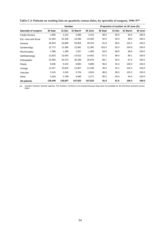|                      | <b>Number</b> |         |          |         |         | Proportion of number on 30 June (%) |          |         |
|----------------------|---------------|---------|----------|---------|---------|-------------------------------------|----------|---------|
| Specialty of surgeon | 30 Sept       | 31 Dec  | 31 March | 30 June | 30 Sept | 31 Dec                              | 31 March | 30 June |
| Cardio-thoracic      | 1,950         | 2,124   | 2,095    | 2,215   | 88.0    | 95.9                                | 94.6     | 100.0   |
| Ear, nose and throat | 21,554        | 22,106  | 23,286   | 23,305  | 92.5    | 94.9                                | 99.9     | 100.0   |
| General              | 26,833        | 25,890  | 29,909   | 29,234  | 91.8    | 88.6                                | 102.3    | 100.0   |
| Gynaecology          | 12,772        | 11,366  | 12,961   | 12,360  | 103.3   | 92.0                                | 104.9    | 100.0   |
| Neurosurgery         | 1,386         | 1,298   | 1,457    | 1,460   | 94.9    | 88.9                                | 99.8     | 100.0   |
| Ophthalmology        | 12,823        | 13,043  | 14,522   | 14,652  | 87.5    | 89.0                                | 99.1     | 100.0   |
| Orthopaedic          | 31,694        | 33,270  | 35,208   | 35,978  | 88.1    | 92.5                                | 97.9     | 100.0   |
| Plastic              | 9,556         | 9,322   | 9,884    | 9,888   | 96.6    | 94.3                                | 100.0    | 100.0   |
| Urology              | 11,017        | 10,625  | 11,807   | 11,536  | 95.5    | 92.1                                | 102.3    | 100.0   |
| Vascular             | 3,145         | 3,245   | 3,704    | 3,624   | 86.8    | 89.5                                | 102.2    | 100.0   |
| Other                | 2,818         | 2,768   | 3,090    | 3,271   | 86.2    | 84.6                                | 94.5     | 100.0   |
| All patients         | 135,548       | 135,057 | 147,923  | 147,523 | 91.9    | 91.5                                | 100.3    | 100.0   |

**Table C.3: Patients on waiting lists on quarterly census dates, by specialty of surgeon, 1996–97(a)**

(a) Includes Victorian 'booked' patients. The Northern Territory is not included because data were not available for the first three quarterly census dates.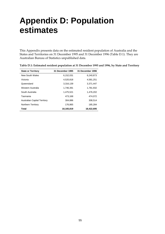## **Appendix D: Population estimates**

This Appendix presents data on the estimated resident population of Australia and the States and Territories on 31 December 1995 and 31 December 1996 (Table D.1). They are Australian Bureau of Statistics unpublished data.

| <b>State or Territory</b>           | 31 December 1995 | 31 December 1996 |
|-------------------------------------|------------------|------------------|
| New South Wales                     | 6.152.031        | 6.240.873        |
| Victoria                            | 4,520,818        | 4,581,251        |
| Queensland                          | 3,316,139        | 3,371,447        |
| Western Australia                   | 1.746.391        | 1,781,932        |
| South Australia                     | 1.475.521        | 1.476.202        |
| Tasmania                            | 473,168          | 474,072          |
| <b>Australian Capital Territory</b> | 304.886          | 308,514          |
| Northern Territory                  | 176,865          | 185,284          |
| Total                               | 18,165,819       | 18,422,695       |

|  | Table D.1: Estimated resident population at 31 December 1995 and 1996, by State and Territory |
|--|-----------------------------------------------------------------------------------------------|
|  |                                                                                               |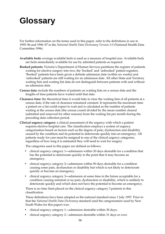# **Glossary**

For further information on the terms used in this paper, refer to the definitions in use in 1995–96 and 1996–97 in the *National Health Data Dictionary Version 5.0* (National Health Data Committee 1996).

- **Available beds:** average available beds is used as a measure of hospital size. Available beds are beds immediately available for use by admitted patients as required.
- **Booked patients:** Victoria's Department of Human Services partitions the register of patients waiting for elective surgery into two, the 'booked' and 'unbooked' patient registers. 'Booked' patients have been given a definite admission date (within six weeks) and 'unbooked' patients are still waiting for an admission date. All other State and Territory waiting lists and waiting list data do not distinguish between patients with and without an admission date.
- **Census data:** include the numbers of patients on waiting lists on a census date and the lengths of time patients have waited until that date.
- **Clearance time:** the theoretical time it would take to clear the waiting lists of all patients at a census date, if the rate of clearance remained constant. It represents the maximum time a patient on a list could expect to wait and is calculated as the number of patients waiting at the census date (the census count) divided by the mean number cleared (admitted and removed for other reasons) from the waiting list per month during the preceding data collection period.
- **Clinical urgency category:** a clinical assessment of the urgency with which a patient requires elective hospital care. The classification employs a system of urgency categorisation based on factors such as the degree of pain, dysfunction and disability caused by the condition and its potential to deteriorate quickly into an emergency. All patients ready for care must be assigned to one of the clinical urgency categories, regardless of how long it is estimated they will need to wait for surgery.

The categories used in this paper are defined as follows:

- clinical urgency category 1**—**admission within 30 days desirable for a condition that has the potential to deteriorate quickly to the point that it may become an emergency.
- clinical urgency category 2**—**admission within 90 days desirable for a condition causing some pain, dysfunction or disability but which is not likely to deteriorate quickly or become an emergency.
- clinical urgency category 3**—**admission at some time in the future acceptable for a condition causing minimal or no pain, dysfunction or disability, which is unlikely to deteriorate quickly and which does not have the potential to become an emergency.

There is no time limit placed on the clinical urgency category 3 patients in this classification.

These definitions have been adopted as the national standard since 1 July 1997. Prior to that the *National Health Data Dictionary* standard (and the categorisation used by New South Wales for this paper) was:

- clinical urgency category 1—admission desirable within 30 days;
- clinical urgency category 2—admission desirable within 31 days or over.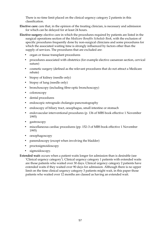There is no time limit placed on the clinical urgency category 2 patients in this classification.

**Elective care:** care that, in the opinion of the treating clinician, is necessary and admission for which can be delayed for at least 24 hours.

- **Elective surgery:** elective care in which the procedures required by patients are listed in the surgical operations section of the *Medicare Benefits Schedule Book*, with the exclusion of specific procedures frequently done by non-surgical clinicians and some procedures for which the associated waiting time is strongly influenced by factors other than the supply of services. The procedures that are excluded are:
	- organ or tissue transplant procedures
	- procedures associated with obstetrics (for example elective caesarean section, cervical suture)
	- cosmetic surgery (defined as the relevant procedures that do not attract a Medicare rebate)
	- biopsy of kidney (needle only)
	- biopsy of lung (needle only)
	- bronchoscopy (including fibre-optic bronchoscopy)
	- colonoscopy
	- dental procedures
	- endoscopic retrograde cholangio-pancreatography
	- endoscopy of biliary tract, oesophagus, small intestine or stomach
	- endovascular interventional procedures (p. 136 of MBS book effective 1 November 1995)
	- gastroscopy
	- miscellaneous cardiac procedures (pp. 152–3 of MBS book effective 1 November 1995)
	- oesophagoscopy
	- panendoscopy (except when involving the bladder)
	- proctosigmoidoscopy
	- sigmoidoscopy.

**Extended wait:** occurs when a patient waits longer for admission than is desirable (see 'Clinical urgency category'). Clinical urgency category 1 patients with extended waits are those patients who waited over 30 days. Clinical urgency category 2 patients have extended waits if they waited over 90 days for admission. Although there is no upper limit on the time clinical urgency category 3 patients might wait, in this paper those patients who waited over 12 months are classed as having an extended wait.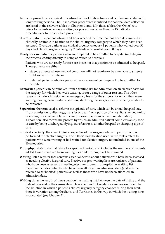- **Indicator procedure:** a surgical procedure that is of high volume and is often associated with long waiting periods. The 15 indicator procedures identified for national data collection are listed in the relevant tables in Chapters 3 and 4. In those tables, the 'Other' row refers to patients who were waiting for procedures other than the 15 indicator procedures or for unspecified procedures.
- **Overdue patient:** a patient whose wait has exceeded the time that has been determined as clinically desirable in relation to the clinical urgency category to which they have been assigned. Overdue patients are clinical urgency category 1 patients who waited over 30 days and clinical urgency category 2 patients who waited over 90 days.
- **Ready for care patients:** patients who are prepared to be admitted to hospital (or to begin the process leading directly to being admitted to hospital).

Patients who are not ready for care are those not in a position to be admitted to hospital. These patients are either:

- staged patients whose medical condition will not require or be amenable to surgery until some future date, or
- deferred patients who for personal reasons are not yet prepared to be admitted to hospital.
- **Removal:** a patient can be removed from a waiting list for admission on an elective basis for the surgery for which they were waiting, or for a range of other reasons. The other reasons include admission on an emergency basis for the surgery for which they were waiting, having been treated elsewhere, declining the surgery, death or being unable to be contacted.
- **Separation**: the term used to refer to the episode of care, which can be a total hospital stay (from admission to discharge, transfer or death) or a portion of a hospital stay beginning or ending in a change of type of care (for example, from acute to rehabilitation). 'Separation' also means the process by which an admitted patient completes an episode of care by being discharged, dying, transferring to another hospital or changing type of care.
- **Surgical specialty:** the area of clinical expertise of the surgeon who will perform or has performed the elective surgery. The 'Other' classification used in the tables refers to patients who were waiting or had waited for elective surgery not included in one of the 10 categories.
- **Throughput data:** data that relate to a specified period, and includes the numbers of patients added to and removed from waiting lists and the lengths of time waited.
- **Waiting list:** a register that contains essential details about patients who have been assessed as needing elective hospital care. Elective surgery waiting lists are registers of patients who have been assessed as needing elective surgery in a hospital. A waiting list therefore includes patients who have been allocated an admission date (and may be referred to as 'booked' patients) as well as those who have not been allocated an admission date.
- **Waiting time:** the length of time spent on the waiting list, between the date of listing and the date of removal or the census date. Days spent as 'not ready for care' are excluded. In the situation in which a patient's clinical urgency category changes during their wait, there is variation among the States and Territories in the way in which the waiting time is calculated (see Chapter 2).